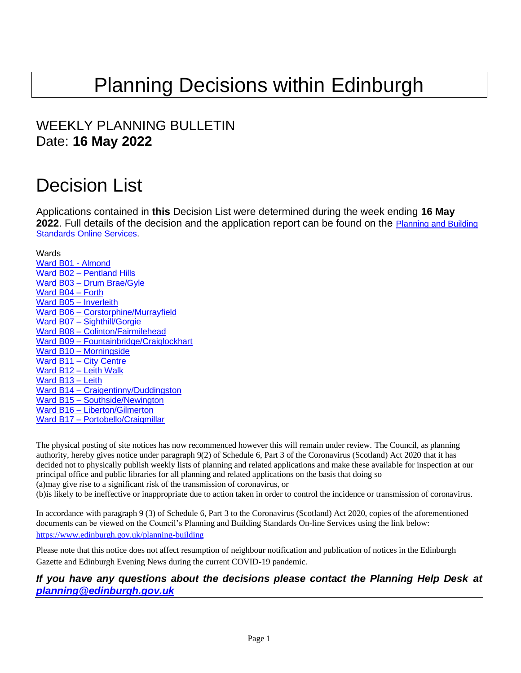# Planning Decisions within Edinburgh

# WEEKLY PLANNING BULLETIN Date: **16 May 2022**

# Decision List

Applications contained in **this** Decision List were determined during the week ending **16 May 2022**. Full details of the decision and the application report can be found on the [Planning and Building](https://citydev-portal.edinburgh.gov.uk/idoxpa-web/search.do?action=simple&searchType=Application)  [Standards Online Services.](https://citydev-portal.edinburgh.gov.uk/idoxpa-web/search.do?action=simple&searchType=Application)

<span id="page-0-0"></span>Wards

[Ward B01](#page-1-0) - Almond Ward B02 – [Pentland Hills](#page-3-0) Ward B03 – [Drum Brae/Gyle](#page-5-0) [Ward B04](#page-6-0) – Forth [Ward B05](#page-8-0) – Inverleith Ward B06 – [Corstorphine/Murrayfield](#page-9-0) Ward B07 – [Sighthill/Gorgie](#page-10-0) Ward B08 – [Colinton/Fairmilehead](#page-11-0) Ward B09 – [Fountainbridge/Craiglockhart](#page-12-0) Ward B10 – [Morningside](#page-13-0) Ward B11 – [City Centre](#page-16-0) Ward B12 – [Leith Walk](#page-20-0) [Ward B13](#page-22-0) – Leith Ward B14 – [Craigentinny/Duddingston](#page-23-0) Ward B15 – [Southside/Newington](#page-24-0) Ward B16 – [Liberton/Gilmerton](#page-28-0) Ward B17 - [Portobello/Craigmillar](#page-29-0)

The physical posting of site notices has now recommenced however this will remain under review. The Council, as planning authority, hereby gives notice under paragraph 9(2) of Schedule 6, Part 3 of the Coronavirus (Scotland) Act 2020 that it has decided not to physically publish weekly lists of planning and related applications and make these available for inspection at our principal office and public libraries for all planning and related applications on the basis that doing so (a)may give rise to a significant risk of the transmission of coronavirus, or (b)is likely to be ineffective or inappropriate due to action taken in order to control the incidence or transmission of coronavirus.

In accordance with paragraph 9 (3) of Schedule 6, Part 3 to the Coronavirus (Scotland) Act 2020, copies of the aforementioned documents can be viewed on the Council's Planning and Building Standards On-line Services using the link below: <https://www.edinburgh.gov.uk/planning-building>

Please note that this notice does not affect resumption of neighbour notification and publication of notices in the Edinburgh Gazette and Edinburgh Evening News during the current COVID-19 pandemic.

#### *If you have any questions about the decisions please contact the Planning Help Desk at [planning@edinburgh.gov.uk](mailto:planning@edinburgh.gov.uk)*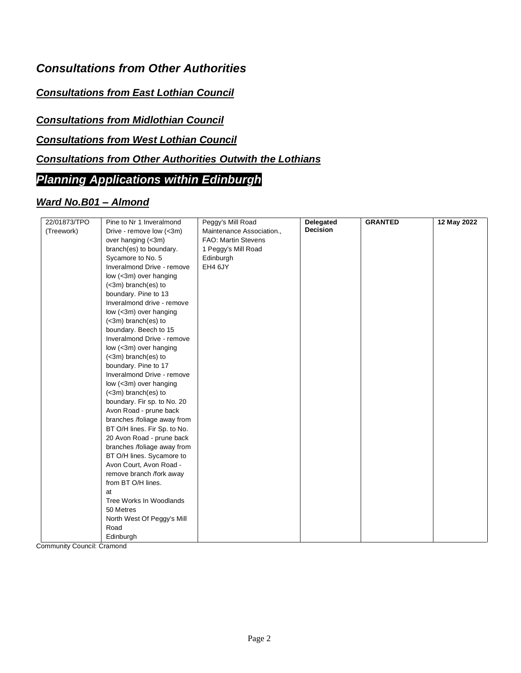# *Consultations from Other Authorities*

#### *Consultations from East Lothian Council*

#### *Consultations from Midlothian Council*

#### *Consultations from West Lothian Council*

### *Consultations from Other Authorities Outwith the Lothians*

## *Planning Applications within Edinburgh*

#### <span id="page-1-0"></span>*Ward No.B01 – Almond*

| 22/01873/TPO | Pine to Nr 1 Inveralmond     | Peggy's Mill Road          | Delegated | <b>GRANTED</b> | 12 May 2022 |
|--------------|------------------------------|----------------------------|-----------|----------------|-------------|
| (Treework)   | Drive - remove low (<3m)     | Maintenance Association.,  | Decision  |                |             |
|              | over hanging (<3m)           | <b>FAO: Martin Stevens</b> |           |                |             |
|              | branch(es) to boundary.      | 1 Peggy's Mill Road        |           |                |             |
|              | Sycamore to No. 5            | Edinburgh                  |           |                |             |
|              | Inveralmond Drive - remove   | EH4 6JY                    |           |                |             |
|              | low (<3m) over hanging       |                            |           |                |             |
|              | (<3m) branch(es) to          |                            |           |                |             |
|              | boundary. Pine to 13         |                            |           |                |             |
|              | Inveralmond drive - remove   |                            |           |                |             |
|              | low (<3m) over hanging       |                            |           |                |             |
|              | $(<$ 3m) branch $(es)$ to    |                            |           |                |             |
|              | boundary. Beech to 15        |                            |           |                |             |
|              | Inveralmond Drive - remove   |                            |           |                |             |
|              | low (<3m) over hanging       |                            |           |                |             |
|              | (<3m) branch(es) to          |                            |           |                |             |
|              | boundary. Pine to 17         |                            |           |                |             |
|              | Inveralmond Drive - remove   |                            |           |                |             |
|              | low (<3m) over hanging       |                            |           |                |             |
|              | (<3m) branch(es) to          |                            |           |                |             |
|              | boundary. Fir sp. to No. 20  |                            |           |                |             |
|              | Avon Road - prune back       |                            |           |                |             |
|              | branches /foliage away from  |                            |           |                |             |
|              | BT O/H lines. Fir Sp. to No. |                            |           |                |             |
|              | 20 Avon Road - prune back    |                            |           |                |             |
|              | branches /foliage away from  |                            |           |                |             |
|              | BT O/H lines. Sycamore to    |                            |           |                |             |
|              | Avon Court, Avon Road -      |                            |           |                |             |
|              | remove branch /fork away     |                            |           |                |             |
|              | from BT O/H lines.           |                            |           |                |             |
|              | at                           |                            |           |                |             |
|              | Tree Works In Woodlands      |                            |           |                |             |
|              | 50 Metres                    |                            |           |                |             |
|              | North West Of Peggy's Mill   |                            |           |                |             |
|              | Road                         |                            |           |                |             |
|              | Edinburgh                    |                            |           |                |             |

Community Council: Cramond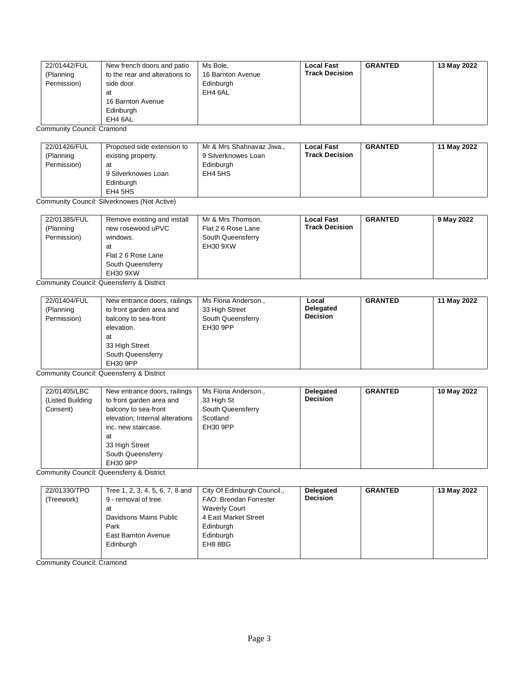| 22/01442/FUL<br>(Planning<br>Permission) | New french doors and patio<br>to the rear and alterations to<br>side door.<br>at<br>16 Barnton Avenue<br>Edinburgh | Ms Bole.<br>16 Barnton Avenue<br>Edinburgh<br>EH4 6AL | Local Fast<br><b>Track Decision</b> | <b>GRANTED</b> | 13 May 2022 |
|------------------------------------------|--------------------------------------------------------------------------------------------------------------------|-------------------------------------------------------|-------------------------------------|----------------|-------------|
|                                          | EH4 6AL                                                                                                            |                                                       |                                     |                |             |

Community Council: Cramond

| 22/01426/FUL<br>(Planning<br>Permission) | Proposed side extension to<br>existing property.<br>at<br>9 Silverknowes Loan<br>Edinburgh<br>EH4 5HS | Mr & Mrs Shahnavaz Jiwa.,<br>9 Silverknowes Loan<br>Edinburgh<br>EH4 5HS | <b>Local Fast</b><br><b>Track Decision</b> | <b>GRANTED</b> | 11 May 2022 |
|------------------------------------------|-------------------------------------------------------------------------------------------------------|--------------------------------------------------------------------------|--------------------------------------------|----------------|-------------|
|------------------------------------------|-------------------------------------------------------------------------------------------------------|--------------------------------------------------------------------------|--------------------------------------------|----------------|-------------|

Community Council: Silverknowes (Not Active)

| 22/01385/FUL<br>(Planning<br>Permission) | Remove existing and install<br>new rosewood uPVC<br>windows.<br>at<br>Flat 2 6 Rose Lane<br>South Queensferry | Mr & Mrs Thomson,<br>Flat 2 6 Rose Lane<br>South Queensferry<br>EH30 9XW | <b>Local Fast</b><br><b>Track Decision</b> | <b>GRANTED</b> | 9 May 2022 |
|------------------------------------------|---------------------------------------------------------------------------------------------------------------|--------------------------------------------------------------------------|--------------------------------------------|----------------|------------|
|                                          | EH30 9XW                                                                                                      |                                                                          |                                            |                |            |

Community Council: Queensferry & District

| 22/01404/FUL<br>New entrance doors, railings<br>(Planning<br>to front garden area and<br>Permission)<br>balcony to sea-front<br>elevation.<br>at<br>33 High Street<br>South Queensferry<br><b>EH30 9PP</b> | Ms Fiona Anderson.,<br>33 High Street<br>South Queensferry<br>EH30 9PP | Local<br>Delegated<br><b>Decision</b> | <b>GRANTED</b> | 11 May 2022 |
|------------------------------------------------------------------------------------------------------------------------------------------------------------------------------------------------------------|------------------------------------------------------------------------|---------------------------------------|----------------|-------------|
|------------------------------------------------------------------------------------------------------------------------------------------------------------------------------------------------------------|------------------------------------------------------------------------|---------------------------------------|----------------|-------------|

Community Council: Queensferry & District

| 22/01405/LBC     | New entrance doors, railings    | Ms Fiona Anderson., | Delegated       | <b>GRANTED</b> | 10 May 2022 |
|------------------|---------------------------------|---------------------|-----------------|----------------|-------------|
| (Listed Building | to front garden area and        | 33 High St          | <b>Decision</b> |                |             |
| Consent)         | balcony to sea-front            | South Queensferry   |                 |                |             |
|                  | elevation; Internal alterations | Scotland            |                 |                |             |
|                  | inc. new staircase.             | EH30 9PP            |                 |                |             |
|                  | at                              |                     |                 |                |             |
|                  | 33 High Street                  |                     |                 |                |             |
|                  | South Queensferry               |                     |                 |                |             |
|                  | EH30 9PP                        |                     |                 |                |             |

Community Council: Queensferry & District

| 22/01330/TPO | Tree 1, 2, 3, 4, 5, 6, 7, 8 and | City Of Edinburgh Council., | <b>Delegated</b> | <b>GRANTED</b> | 13 May 2022 |
|--------------|---------------------------------|-----------------------------|------------------|----------------|-------------|
| (Treework)   | 9 - removal of tree.            | FAO: Brendan Forrester      | <b>Decision</b>  |                |             |
|              | at                              | <b>Waverly Court</b>        |                  |                |             |
|              | Davidsons Mains Public          | 4 East Market Street        |                  |                |             |
|              | Park                            | Edinburgh                   |                  |                |             |
|              | <b>East Barnton Avenue</b>      | Edinburgh                   |                  |                |             |
|              | Edinburgh                       | EH8 8BG                     |                  |                |             |
|              |                                 |                             |                  |                |             |

Community Council: Cramond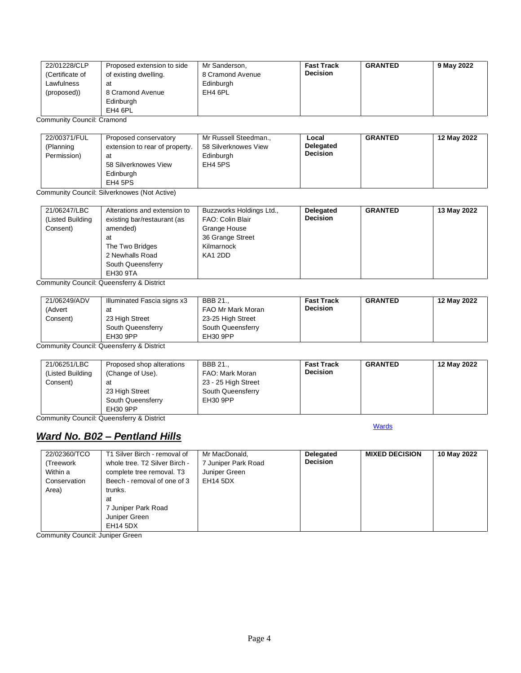| 22/01228/CLP    | Proposed extension to side | Mr Sanderson,    | <b>Fast Track</b> | <b>GRANTED</b> | 9 May 2022 |
|-----------------|----------------------------|------------------|-------------------|----------------|------------|
| (Certificate of | of existing dwelling.      | 8 Cramond Avenue | <b>Decision</b>   |                |            |
| Lawfulness      | at                         | Edinburgh        |                   |                |            |
| (proposed))     | 8 Cramond Avenue           | EH4 6PL          |                   |                |            |
|                 | Edinburgh                  |                  |                   |                |            |
|                 | EH4 6PL                    |                  |                   |                |            |

Community Council: Cramond

| 22/00371/FUL | Proposed conservatory          | Mr Russell Steedman  | Local           | <b>GRANTED</b> | 12 May 2022 |
|--------------|--------------------------------|----------------------|-----------------|----------------|-------------|
| (Planning    | extension to rear of property. | 58 Silverknowes View | Delegated       |                |             |
| Permission)  | at                             | Edinburgh            | <b>Decision</b> |                |             |
|              | 58 Silverknowes View           | EH4 5PS              |                 |                |             |
|              | Edinburgh                      |                      |                 |                |             |
|              | EH4 5PS                        |                      |                 |                |             |

Community Council: Silverknowes (Not Active)

| 21/06247/LBC<br>(Listed Building<br>Consent) | Alterations and extension to<br>existing bar/restaurant (as<br>amended)<br>at<br>The Two Bridges<br>2 Newhalls Road<br>South Queensferry | Buzzworks Holdings Ltd.,<br>FAO: Colin Blair<br>Grange House<br>36 Grange Street<br>Kilmarnock<br>KA1 2DD | Delegated<br><b>Decision</b> | <b>GRANTED</b> | 13 May 2022 |
|----------------------------------------------|------------------------------------------------------------------------------------------------------------------------------------------|-----------------------------------------------------------------------------------------------------------|------------------------------|----------------|-------------|
|                                              | EH30 9TA                                                                                                                                 |                                                                                                           |                              |                |             |

Community Council: Queensferry & District

| 21/06249/ADV | Illuminated Fascia signs x3               | BBB 21            | <b>Fast Track</b> | <b>GRANTED</b> | 12 May 2022 |
|--------------|-------------------------------------------|-------------------|-------------------|----------------|-------------|
| (Advert      | at                                        | FAO Mr Mark Moran | <b>Decision</b>   |                |             |
| Consent)     | 23 High Street                            | 23-25 High Street |                   |                |             |
|              | South Queensferry                         | South Queensferry |                   |                |             |
|              | EH30 9PP                                  | EH30 9PP          |                   |                |             |
|              | Cammunity Caunail: Queangfarry & Diatriat |                   |                   |                |             |

Community Council: Queensferry & District

| 21/06251/LBC     | Proposed shop alterations | BBB 21              | <b>Fast Track</b> | <b>GRANTED</b> | 12 May 2022 |
|------------------|---------------------------|---------------------|-------------------|----------------|-------------|
| (Listed Building | (Change of Use).          | FAO: Mark Moran     | <b>Decision</b>   |                |             |
| Consent)         | at                        | 23 - 25 High Street |                   |                |             |
|                  | 23 High Street            | South Queensferry   |                   |                |             |
|                  | South Queensferry         | EH30 9PP            |                   |                |             |
|                  | EH30 9PP                  |                     |                   |                |             |

**[Wards](#page-0-0)** 

Community Council: Queensferry & District

## <span id="page-3-0"></span>*Ward No. B02 – Pentland Hills*

| 22/02360/TCO | T1 Silver Birch - removal of  | Mr MacDonald,       | Delegated       | <b>MIXED DECISION</b> | 10 May 2022 |
|--------------|-------------------------------|---------------------|-----------------|-----------------------|-------------|
| (Treework    | whole tree. T2 Silver Birch - | 7 Juniper Park Road | <b>Decision</b> |                       |             |
| Within a     | complete tree removal. T3     | Juniper Green       |                 |                       |             |
| Conservation | Beech - removal of one of 3   | EH14 5DX            |                 |                       |             |
| Area)        | trunks.                       |                     |                 |                       |             |
|              | at                            |                     |                 |                       |             |
|              | 7 Juniper Park Road           |                     |                 |                       |             |
|              | Juniper Green                 |                     |                 |                       |             |
|              | <b>EH14 5DX</b>               |                     |                 |                       |             |

Community Council: Juniper Green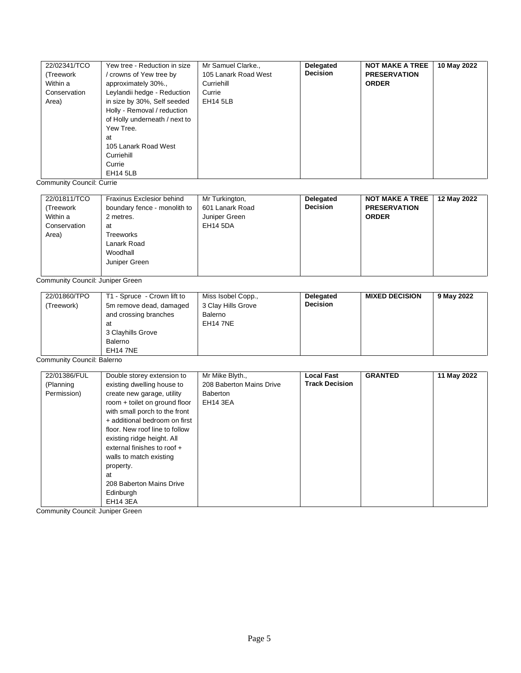| 22/02341/TCO<br>(Treework)<br>Within a<br>Conservation<br>Area) | Yew tree - Reduction in size<br>crowns of Yew tree by /<br>approximately 30%.,<br>Leylandii hedge - Reduction<br>in size by 30%, Self seeded<br>Holly - Removal / reduction<br>of Holly underneath / next to<br>Yew Tree.<br>at<br>105 Lanark Road West<br>Curriehill<br>Currie | Mr Samuel Clarke.,<br>105 Lanark Road West<br>Curriehill<br>Currie<br><b>EH14 5LB</b> | Delegated<br><b>Decision</b> | <b>NOT MAKE A TREE</b><br><b>PRESERVATION</b><br><b>ORDER</b> | 10 May 2022 |
|-----------------------------------------------------------------|---------------------------------------------------------------------------------------------------------------------------------------------------------------------------------------------------------------------------------------------------------------------------------|---------------------------------------------------------------------------------------|------------------------------|---------------------------------------------------------------|-------------|
|                                                                 | <b>EH14 5LB</b>                                                                                                                                                                                                                                                                 |                                                                                       |                              |                                                               |             |

Community Council: Currie

| 22/01811/TCO<br>Fraxinus Exclesior behind<br>boundary fence - monolith to<br>(Treework<br>Within a<br>2 metres.<br>Conservation<br>at<br>Area)<br>Treeworks<br>Lanark Road<br>Woodhall<br>Juniper Green | Mr Turkington,<br>601 Lanark Road<br>Juniper Green<br>EH14 5DA | Delegated<br><b>Decision</b> | <b>NOT MAKE A TREE</b><br><b>PRESERVATION</b><br><b>ORDER</b> | 12 May 2022 |
|---------------------------------------------------------------------------------------------------------------------------------------------------------------------------------------------------------|----------------------------------------------------------------|------------------------------|---------------------------------------------------------------|-------------|
|---------------------------------------------------------------------------------------------------------------------------------------------------------------------------------------------------------|----------------------------------------------------------------|------------------------------|---------------------------------------------------------------|-------------|

Community Council: Juniper Green

| 22/01860/TPO<br>(Treework)<br>at<br>3 Clayhills Grove<br>Balerno<br><b>EH14 7NE</b> | Miss Isobel Copp.,<br>T1 - Spruce - Crown lift to<br>3 Clay Hills Grove<br>5m remove dead, damaged<br>and crossing branches<br>Balerno<br>EH14 7NE | Delegated<br><b>Decision</b> | <b>MIXED DECISION</b> | 9 May 2022 |
|-------------------------------------------------------------------------------------|----------------------------------------------------------------------------------------------------------------------------------------------------|------------------------------|-----------------------|------------|
|-------------------------------------------------------------------------------------|----------------------------------------------------------------------------------------------------------------------------------------------------|------------------------------|-----------------------|------------|

Community Council: Balerno

| 22/01386/FUL | Double storey extension to     | Mr Mike Blyth.,          | <b>Local Fast</b>     | <b>GRANTED</b> | 11 May 2022 |
|--------------|--------------------------------|--------------------------|-----------------------|----------------|-------------|
| (Planning    | existing dwelling house to     | 208 Baberton Mains Drive | <b>Track Decision</b> |                |             |
| Permission)  | create new garage, utility     | <b>Baberton</b>          |                       |                |             |
|              | room + toilet on ground floor  | EH14 3EA                 |                       |                |             |
|              | with small porch to the front  |                          |                       |                |             |
|              | + additional bedroom on first  |                          |                       |                |             |
|              | floor. New roof line to follow |                          |                       |                |             |
|              | existing ridge height. All     |                          |                       |                |             |
|              | external finishes to roof +    |                          |                       |                |             |
|              | walls to match existing        |                          |                       |                |             |
|              | property.                      |                          |                       |                |             |
|              | at                             |                          |                       |                |             |
|              | 208 Baberton Mains Drive       |                          |                       |                |             |
|              | Edinburgh                      |                          |                       |                |             |
|              | <b>EH14 3EA</b>                |                          |                       |                |             |

Community Council: Juniper Green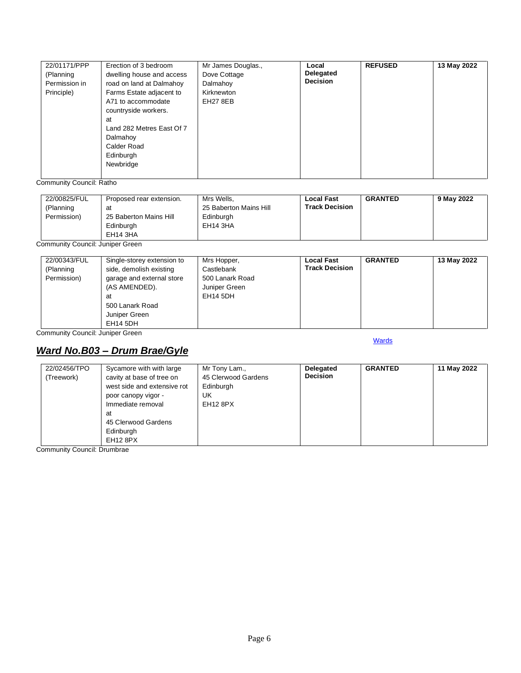| 22/01171/PPP<br>(Planning<br>Permission in<br>Principle) | Erection of 3 bedroom<br>dwelling house and access<br>road on land at Dalmahoy<br>Farms Estate adjacent to<br>A71 to accommodate<br>countryside workers.<br>at<br>Land 282 Metres East Of 7<br>Dalmahoy<br>Calder Road<br>Edinburgh<br>Newbridge | Mr James Douglas.,<br>Dove Cottage<br>Dalmahoy<br>Kirknewton<br><b>EH27 8EB</b> | Local<br>Delegated<br><b>Decision</b> | <b>REFUSED</b> | 13 May 2022 |
|----------------------------------------------------------|--------------------------------------------------------------------------------------------------------------------------------------------------------------------------------------------------------------------------------------------------|---------------------------------------------------------------------------------|---------------------------------------|----------------|-------------|
|                                                          |                                                                                                                                                                                                                                                  |                                                                                 |                                       |                |             |

Community Council: Ratho

| 22/00825/FUL<br>(Planning<br>Permission) | Proposed rear extension.<br>at<br>25 Baberton Mains Hill | Mrs Wells,<br>25 Baberton Mains Hill<br>Edinburgh | <b>Local Fast</b><br><b>Track Decision</b> | <b>GRANTED</b> | 9 May 2022 |
|------------------------------------------|----------------------------------------------------------|---------------------------------------------------|--------------------------------------------|----------------|------------|
|                                          | Edinburgh<br>EH14 3HA                                    | EH14 3HA                                          |                                            |                |            |

Community Council: Juniper Green

|  | 22/00343/FUL<br>(Planning<br>Permission) | Single-storey extension to<br>side, demolish existing<br>garage and external store<br>(AS AMENDED).<br>at<br>500 Lanark Road<br>Juniper Green | Mrs Hopper,<br>Castlebank<br>500 Lanark Road<br>Juniper Green<br>EH14 5DH | <b>Local Fast</b><br><b>Track Decision</b> | <b>GRANTED</b> | 13 May 2022 |
|--|------------------------------------------|-----------------------------------------------------------------------------------------------------------------------------------------------|---------------------------------------------------------------------------|--------------------------------------------|----------------|-------------|
|--|------------------------------------------|-----------------------------------------------------------------------------------------------------------------------------------------------|---------------------------------------------------------------------------|--------------------------------------------|----------------|-------------|

Community Council: Juniper Green

## <span id="page-5-0"></span>*Ward No.B03 – Drum Brae/Gyle*

**[Wards](#page-0-0)** 

| 22/02456/TPO | Sycamore with with large                                 | Mr Tony Lam.,                    | Delegated       | <b>GRANTED</b> | 11 May 2022 |
|--------------|----------------------------------------------------------|----------------------------------|-----------------|----------------|-------------|
| (Treework)   | cavity at base of tree on<br>west side and extensive rot | 45 Clerwood Gardens<br>Edinburgh | <b>Decision</b> |                |             |
|              | poor canopy vigor -                                      | UK                               |                 |                |             |
|              | Immediate removal                                        | EH12 8PX                         |                 |                |             |
|              | at                                                       |                                  |                 |                |             |
|              | 45 Clerwood Gardens                                      |                                  |                 |                |             |
|              | Edinburgh                                                |                                  |                 |                |             |
|              | <b>EH12 8PX</b>                                          |                                  |                 |                |             |

Community Council: Drumbrae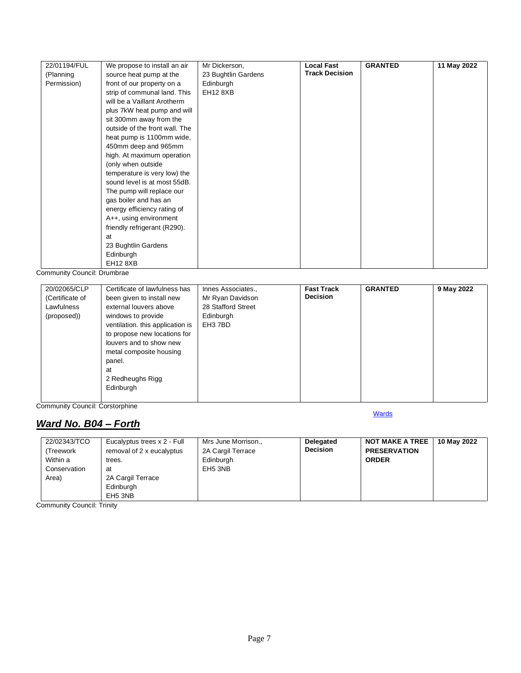| 22/01194/FUL | We propose to install an air   | Mr Dickerson,       | <b>Local Fast</b>     | <b>GRANTED</b> | 11 May 2022 |
|--------------|--------------------------------|---------------------|-----------------------|----------------|-------------|
| (Planning    | source heat pump at the        | 23 Bughtlin Gardens | <b>Track Decision</b> |                |             |
| Permission)  | front of our property on a     | Edinburgh           |                       |                |             |
|              | strip of communal land. This   | <b>EH12 8XB</b>     |                       |                |             |
|              | will be a Vaillant Arotherm    |                     |                       |                |             |
|              | plus 7kW heat pump and will    |                     |                       |                |             |
|              | sit 300mm away from the        |                     |                       |                |             |
|              | outside of the front wall. The |                     |                       |                |             |
|              | heat pump is 1100mm wide,      |                     |                       |                |             |
|              | 450mm deep and 965mm           |                     |                       |                |             |
|              | high. At maximum operation     |                     |                       |                |             |
|              | (only when outside             |                     |                       |                |             |
|              | temperature is very low) the   |                     |                       |                |             |
|              | sound level is at most 55dB.   |                     |                       |                |             |
|              | The pump will replace our      |                     |                       |                |             |
|              | gas boiler and has an          |                     |                       |                |             |
|              | energy efficiency rating of    |                     |                       |                |             |
|              | A++, using environment         |                     |                       |                |             |
|              | friendly refrigerant (R290).   |                     |                       |                |             |
|              | at                             |                     |                       |                |             |
|              | 23 Bughtlin Gardens            |                     |                       |                |             |
|              | Edinburgh                      |                     |                       |                |             |
|              | <b>EH12 8XB</b>                |                     |                       |                |             |

Community Council: Drumbrae

| 20/02065/CLP    | Certificate of lawfulness has    | Innes Associates., | <b>Fast Track</b> | <b>GRANTED</b> | 9 May 2022 |
|-----------------|----------------------------------|--------------------|-------------------|----------------|------------|
| (Certificate of | been given to install new        | Mr Ryan Davidson   | <b>Decision</b>   |                |            |
| Lawfulness      | external louvers above           | 28 Stafford Street |                   |                |            |
| (proposed))     | windows to provide               | Edinburgh          |                   |                |            |
|                 | ventilation. this application is | EH3 7BD            |                   |                |            |
|                 | to propose new locations for     |                    |                   |                |            |
|                 | louvers and to show new          |                    |                   |                |            |
|                 | metal composite housing          |                    |                   |                |            |
|                 | panel.                           |                    |                   |                |            |
|                 | at                               |                    |                   |                |            |
|                 | 2 Redheughs Rigg                 |                    |                   |                |            |
|                 | Edinburgh                        |                    |                   |                |            |
|                 |                                  |                    |                   |                |            |

Community Council: Corstorphine

# <span id="page-6-0"></span>*Ward No. B04 – Forth*

| 22/02343/TCO<br>(Treework<br>Within a<br>trees.<br>Conservation<br>at<br>Area) | Eucalyptus trees x 2 - Full<br>removal of 2 x eucalyptus<br>2A Cargil Terrace<br>Edinburgh<br>EH <sub>5</sub> 3NB | Mrs June Morrison.,<br>2A Cargil Terrace<br>Edinburgh<br>EH <sub>5</sub> 3NB | Delegated<br><b>Decision</b> | <b>NOT MAKE A TREE</b><br><b>PRESERVATION</b><br><b>ORDER</b> | 10 May 2022 |
|--------------------------------------------------------------------------------|-------------------------------------------------------------------------------------------------------------------|------------------------------------------------------------------------------|------------------------------|---------------------------------------------------------------|-------------|
|--------------------------------------------------------------------------------|-------------------------------------------------------------------------------------------------------------------|------------------------------------------------------------------------------|------------------------------|---------------------------------------------------------------|-------------|

**[Wards](#page-0-0)** 

Community Council: Trinity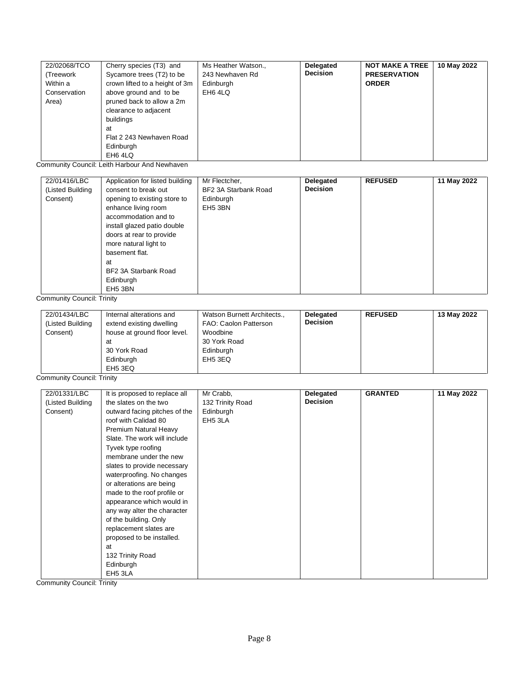| 22/02068/TCO | Cherry species (T3) and        | Ms Heather Watson., | Delegated       | <b>NOT MAKE A TREE</b> | 10 May 2022 |
|--------------|--------------------------------|---------------------|-----------------|------------------------|-------------|
| (Treework    | Sycamore trees (T2) to be      | 243 Newhaven Rd     | <b>Decision</b> | <b>PRESERVATION</b>    |             |
| Within a     | crown lifted to a height of 3m | Edinburgh           |                 | <b>ORDER</b>           |             |
| Conservation | above ground and to be         | EH6 4LQ             |                 |                        |             |
| Area)        | pruned back to allow a 2m      |                     |                 |                        |             |
|              | clearance to adjacent          |                     |                 |                        |             |
|              | buildings                      |                     |                 |                        |             |
|              | at                             |                     |                 |                        |             |
|              | Flat 2 243 Newhaven Road       |                     |                 |                        |             |
|              | Edinburgh                      |                     |                 |                        |             |
|              | EH6 4LQ                        |                     |                 |                        |             |

Community Council: Leith Harbour And Newhaven

| 22/01416/LBC<br>(Listed Building<br>Consent) | Application for listed building<br>consent to break out<br>opening to existing store to<br>enhance living room<br>accommodation and to<br>install glazed patio double | Mr Flectcher,<br>BF2 3A Starbank Road<br>Edinburgh<br>EH5 3BN | Delegated<br><b>Decision</b> | <b>REFUSED</b> | 11 May 2022 |
|----------------------------------------------|-----------------------------------------------------------------------------------------------------------------------------------------------------------------------|---------------------------------------------------------------|------------------------------|----------------|-------------|
|                                              | doors at rear to provide<br>more natural light to<br>basement flat.<br>at<br>BF2 3A Starbank Road<br>Edinburgh<br>EH <sub>5</sub> 3BN                                 |                                                               |                              |                |             |

Community Council: Trinity

| 22/01434/LBC<br>Internal alterations and<br>(Listed Building<br>extend existing dwelling<br>house at ground floor level.<br>Consent)<br>at<br>30 York Road<br>Edinburgh<br>EH5 3EQ | Watson Burnett Architects.,<br>FAO: Caolon Patterson<br>Woodbine<br>30 York Road<br>Edinburgh<br>EH5 3EQ | Delegated<br><b>Decision</b> | <b>REFUSED</b> | 13 May 2022 |
|------------------------------------------------------------------------------------------------------------------------------------------------------------------------------------|----------------------------------------------------------------------------------------------------------|------------------------------|----------------|-------------|
|------------------------------------------------------------------------------------------------------------------------------------------------------------------------------------|----------------------------------------------------------------------------------------------------------|------------------------------|----------------|-------------|

Community Council: Trinity

| 22/01331/LBC     | It is proposed to replace all | Mr Crabb,        | Delegated       | <b>GRANTED</b> | 11 May 2022 |
|------------------|-------------------------------|------------------|-----------------|----------------|-------------|
| (Listed Building | the slates on the two         | 132 Trinity Road | <b>Decision</b> |                |             |
| Consent)         | outward facing pitches of the | Edinburgh        |                 |                |             |
|                  | roof with Calidad 80          | EH5 3LA          |                 |                |             |
|                  | Premium Natural Heavy         |                  |                 |                |             |
|                  | Slate. The work will include  |                  |                 |                |             |
|                  | Tyvek type roofing            |                  |                 |                |             |
|                  | membrane under the new        |                  |                 |                |             |
|                  | slates to provide necessary   |                  |                 |                |             |
|                  | waterproofing. No changes     |                  |                 |                |             |
|                  | or alterations are being      |                  |                 |                |             |
|                  | made to the roof profile or   |                  |                 |                |             |
|                  | appearance which would in     |                  |                 |                |             |
|                  | any way alter the character   |                  |                 |                |             |
|                  | of the building. Only         |                  |                 |                |             |
|                  | replacement slates are        |                  |                 |                |             |
|                  | proposed to be installed.     |                  |                 |                |             |
|                  | at                            |                  |                 |                |             |
|                  | 132 Trinity Road              |                  |                 |                |             |
|                  | Edinburgh                     |                  |                 |                |             |
|                  | EH <sub>5</sub> 3LA           |                  |                 |                |             |

Community Council: Trinity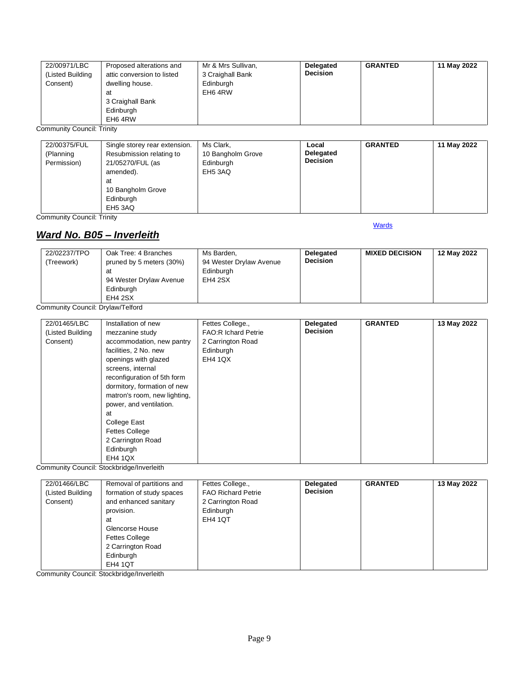| 22/00971/LBC<br>(Listed Building<br>Consent) | Proposed alterations and<br>attic conversion to listed<br>dwelling house.<br>at<br>3 Craighall Bank<br>Edinburgh<br>EH6 4RW | Mr & Mrs Sullivan,<br>3 Craighall Bank<br>Edinburgh<br>EH6 4RW | Delegated<br><b>Decision</b> | <b>GRANTED</b> | 11 May 2022 |
|----------------------------------------------|-----------------------------------------------------------------------------------------------------------------------------|----------------------------------------------------------------|------------------------------|----------------|-------------|
|----------------------------------------------|-----------------------------------------------------------------------------------------------------------------------------|----------------------------------------------------------------|------------------------------|----------------|-------------|

Community Council: Trinity

| 22/00375/FUL<br>(Planning<br>Permission) | Single storey rear extension.<br>Resubmission relating to<br>21/05270/FUL (as<br>amended).<br>at<br>10 Bangholm Grove | Ms Clark,<br>10 Bangholm Grove<br>Edinburgh<br>EH5 3AQ | Local<br>Delegated<br><b>Decision</b> | <b>GRANTED</b> | 11 May 2022 |
|------------------------------------------|-----------------------------------------------------------------------------------------------------------------------|--------------------------------------------------------|---------------------------------------|----------------|-------------|
|                                          | Edinburgh<br>EH <sub>5</sub> 3AQ                                                                                      |                                                        |                                       |                |             |

Community Council: Trinity

### <span id="page-8-0"></span>*Ward No. B05 – Inverleith*

#### **[Wards](#page-0-0)**

| 22/02237/TPO | Oak Tree: 4 Branches     | Ms Barden.              | <b>Delegated</b> | <b>MIXED DECISION</b> | 12 May 2022 |
|--------------|--------------------------|-------------------------|------------------|-----------------------|-------------|
| (Treework)   | pruned by 5 meters (30%) | 94 Wester Drylaw Avenue | <b>Decision</b>  |                       |             |
|              | at                       | Edinburgh               |                  |                       |             |
|              | 94 Wester Drylaw Avenue  | EH4 2SX                 |                  |                       |             |
|              | Edinburgh                |                         |                  |                       |             |
|              | EH4 2SX                  |                         |                  |                       |             |

Community Council: Drylaw/Telford

| 22/01465/LBC     | Installation of new          | Fettes College.,           | Delegated       | <b>GRANTED</b> | 13 May 2022 |
|------------------|------------------------------|----------------------------|-----------------|----------------|-------------|
| (Listed Building | mezzanine study              | <b>FAO:R Ichard Petrie</b> | <b>Decision</b> |                |             |
| Consent)         | accommodation, new pantry    | 2 Carrington Road          |                 |                |             |
|                  | facilities, 2 No. new        | Edinburgh                  |                 |                |             |
|                  | openings with glazed         | <b>EH4 1QX</b>             |                 |                |             |
|                  | screens, internal            |                            |                 |                |             |
|                  | reconfiguration of 5th form  |                            |                 |                |             |
|                  | dormitory, formation of new  |                            |                 |                |             |
|                  | matron's room, new lighting, |                            |                 |                |             |
|                  | power, and ventilation.      |                            |                 |                |             |
|                  | at                           |                            |                 |                |             |
|                  | <b>College East</b>          |                            |                 |                |             |
|                  | <b>Fettes College</b>        |                            |                 |                |             |
|                  | 2 Carrington Road            |                            |                 |                |             |
|                  | Edinburgh                    |                            |                 |                |             |
|                  | <b>EH4 1QX</b>               |                            |                 |                |             |

Community Council: Stockbridge/Inverleith

| 22/01466/LBC<br>(Listed Building<br>Consent) | Removal of partitions and<br>formation of study spaces<br>and enhanced sanitary<br>provision.<br>at<br>Glencorse House<br><b>Fettes College</b><br>2 Carrington Road<br>Edinburgh | Fettes College.,<br><b>FAO Richard Petrie</b><br>2 Carrington Road<br>Edinburgh<br><b>EH4 1QT</b> | <b>Delegated</b><br><b>Decision</b> | <b>GRANTED</b> | 13 May 2022 |
|----------------------------------------------|-----------------------------------------------------------------------------------------------------------------------------------------------------------------------------------|---------------------------------------------------------------------------------------------------|-------------------------------------|----------------|-------------|
|                                              | <b>EH4 1QT</b>                                                                                                                                                                    |                                                                                                   |                                     |                |             |

Community Council: Stockbridge/Inverleith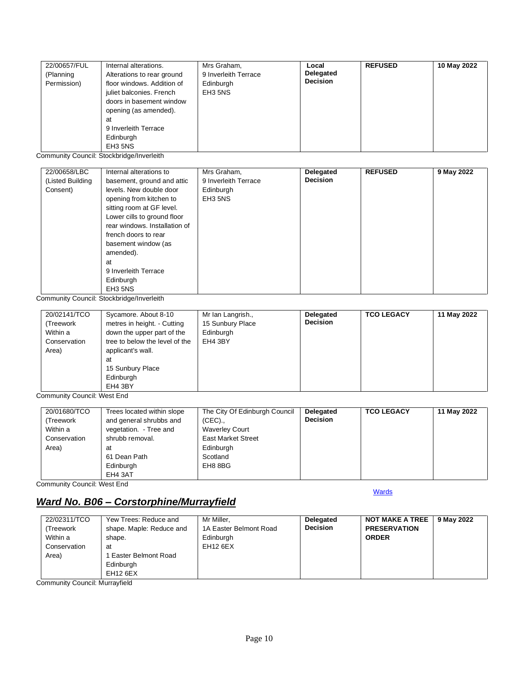| 22/00657/FUL | Internal alterations.      | Mrs Graham,                     | Local           | <b>REFUSED</b> | 10 May 2022 |
|--------------|----------------------------|---------------------------------|-----------------|----------------|-------------|
| (Planning    | Alterations to rear ground | 9 Inverleith Terrace            | Delegated       |                |             |
| Permission)  | floor windows. Addition of | Edinburgh                       | <b>Decision</b> |                |             |
|              | juliet balconies. French   | EH <sub>3</sub> 5N <sub>S</sub> |                 |                |             |
|              | doors in basement window   |                                 |                 |                |             |
|              | opening (as amended).      |                                 |                 |                |             |
|              | at                         |                                 |                 |                |             |
|              | 9 Inverleith Terrace       |                                 |                 |                |             |
|              | Edinburgh                  |                                 |                 |                |             |
|              | EH3 5NS                    |                                 |                 |                |             |

Community Council: Stockbridge/Inverleith

| 22/00658/LBC     | Internal alterations to       | Mrs Graham,          | <b>Delegated</b> | <b>REFUSED</b> | 9 May 2022 |
|------------------|-------------------------------|----------------------|------------------|----------------|------------|
| (Listed Building | basement, ground and attic    | 9 Inverleith Terrace | <b>Decision</b>  |                |            |
| Consent)         | levels. New double door       | Edinburgh            |                  |                |            |
|                  | opening from kitchen to       | EH3 5NS              |                  |                |            |
|                  | sitting room at GF level.     |                      |                  |                |            |
|                  | Lower cills to ground floor   |                      |                  |                |            |
|                  | rear windows. Installation of |                      |                  |                |            |
|                  | french doors to rear          |                      |                  |                |            |
|                  | basement window (as           |                      |                  |                |            |
|                  | amended).                     |                      |                  |                |            |
|                  | at                            |                      |                  |                |            |
|                  | 9 Inverleith Terrace          |                      |                  |                |            |
|                  | Edinburgh                     |                      |                  |                |            |
|                  | EH3 5NS                       |                      |                  |                |            |

Community Council: Stockbridge/Inverleith

| 20/02141/TCO<br>(Treework<br>Within a<br>Conservation<br>Area) | Sycamore. About 8-10<br>metres in height. - Cutting<br>down the upper part of the<br>tree to below the level of the<br>applicant's wall.<br>at<br>15 Sunbury Place | Mr Ian Langrish.,<br>15 Sunbury Place<br>Edinburgh<br>EH4 3BY | Delegated<br><b>Decision</b> | <b>TCO LEGACY</b> | 11 May 2022 |
|----------------------------------------------------------------|--------------------------------------------------------------------------------------------------------------------------------------------------------------------|---------------------------------------------------------------|------------------------------|-------------------|-------------|
|                                                                | Edinburgh<br>EH4 3BY                                                                                                                                               |                                                               |                              |                   |             |

Community Council: West End

| 20/01680/TCO | Trees located within slope | The City Of Edinburgh Council | Delegated       | <b>TCO LEGACY</b> | 11 May 2022 |
|--------------|----------------------------|-------------------------------|-----------------|-------------------|-------------|
| (Treework    | and general shrubbs and    | $(CEC)$ .                     | <b>Decision</b> |                   |             |
| Within a     | vegetation. - Tree and     | <b>Waverley Court</b>         |                 |                   |             |
| Conservation | shrubb removal.            | <b>East Market Street</b>     |                 |                   |             |
| Area)        | at                         | Edinburgh                     |                 |                   |             |
|              | 61 Dean Path               | Scotland                      |                 |                   |             |
|              | Edinburgh                  | EH8 8BG                       |                 |                   |             |
|              | EH4 3AT                    |                               |                 |                   |             |

Community Council: West End

# <span id="page-9-0"></span>*Ward No. B06 – Corstorphine/Murrayfield*

**[Wards](#page-0-0)** 

| 22/02311/TCO<br>(Treework<br>Within a<br>Conservation | Yew Trees: Reduce and<br>shape. Maple: Reduce and<br>shape.<br>at | Mr Miller.<br>1A Easter Belmont Road<br>Edinburgh<br><b>EH12 6EX</b> | <b>Delegated</b><br><b>Decision</b> | <b>NOT MAKE A TREE</b><br><b>PRESERVATION</b><br><b>ORDER</b> | 9 May 2022 |
|-------------------------------------------------------|-------------------------------------------------------------------|----------------------------------------------------------------------|-------------------------------------|---------------------------------------------------------------|------------|
| Area)                                                 | Easter Belmont Road<br>Edinburgh<br>EH <sub>12</sub> 6EX          |                                                                      |                                     |                                                               |            |

Community Council: Murrayfield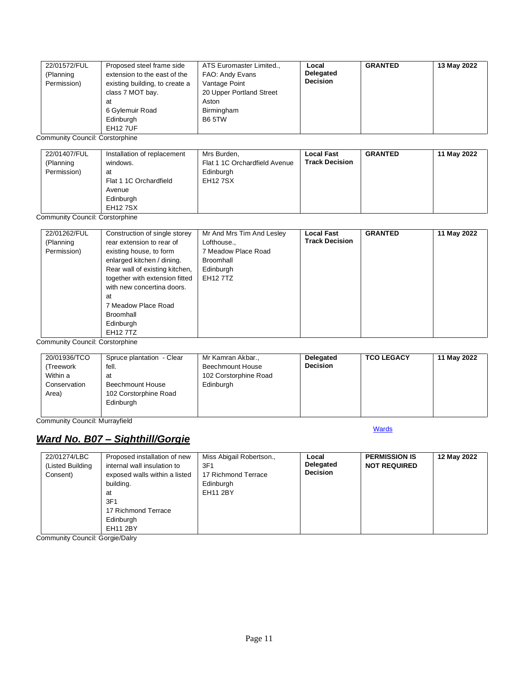| 22/01572/FUL<br>(Planning<br>Permission) | Proposed steel frame side<br>extension to the east of the<br>existing building, to create a<br>class 7 MOT bay.<br>at<br>6 Gylemuir Road<br>Edinburgh | ATS Euromaster Limited.,<br>FAO: Andy Evans<br>Vantage Point<br>20 Upper Portland Street<br>Aston<br>Birmingham<br><b>B6 5TW</b> | Local<br>Delegated<br><b>Decision</b> | <b>GRANTED</b> | 13 May 2022 |
|------------------------------------------|-------------------------------------------------------------------------------------------------------------------------------------------------------|----------------------------------------------------------------------------------------------------------------------------------|---------------------------------------|----------------|-------------|
|                                          | <b>EH12 7UF</b>                                                                                                                                       |                                                                                                                                  |                                       |                |             |

Community Council: Corstorphine

| 22/01407/FUL<br>(Planning<br>Permission) | Installation of replacement<br>windows.<br>at<br>Flat 1 1C Orchardfield | Mrs Burden,<br>Flat 1 1C Orchardfield Avenue<br>Edinburgh<br><b>EH127SX</b> | <b>Local Fast</b><br><b>Track Decision</b> | <b>GRANTED</b> | 11 May 2022 |
|------------------------------------------|-------------------------------------------------------------------------|-----------------------------------------------------------------------------|--------------------------------------------|----------------|-------------|
|                                          | Avenue<br>Edinburgh<br><b>EH127SX</b>                                   |                                                                             |                                            |                |             |

Community Council: Corstorphine

| 22/01262/FUL<br>(Planning<br>Permission) | Construction of single storey<br>rear extension to rear of<br>existing house, to form<br>enlarged kitchen / dining.                                                     | Mr And Mrs Tim And Lesley<br>Lofthouse.,<br>7 Meadow Place Road<br>Broomhall | <b>Local Fast</b><br><b>Track Decision</b> | <b>GRANTED</b> | 11 May 2022 |
|------------------------------------------|-------------------------------------------------------------------------------------------------------------------------------------------------------------------------|------------------------------------------------------------------------------|--------------------------------------------|----------------|-------------|
|                                          | Rear wall of existing kitchen,<br>together with extension fitted<br>with new concertina doors.<br>at<br>7 Meadow Place Road<br>Broomhall<br>Edinburgh<br><b>EH127TZ</b> | Edinburgh<br><b>EH12 7TZ</b>                                                 |                                            |                |             |

Community Council: Corstorphine

| 20/01936/TCO<br>(Treework<br>Within a<br>Conservation<br>Area) | Spruce plantation - Clear<br>fell.<br>at<br>Beechmount House<br>102 Corstorphine Road<br>Edinburgh | Mr Kamran Akbar.,<br>Beechmount House<br>102 Corstorphine Road<br>Edinburgh | Delegated<br><b>Decision</b> | <b>TCO LEGACY</b> | 11 May 2022 |
|----------------------------------------------------------------|----------------------------------------------------------------------------------------------------|-----------------------------------------------------------------------------|------------------------------|-------------------|-------------|
|----------------------------------------------------------------|----------------------------------------------------------------------------------------------------|-----------------------------------------------------------------------------|------------------------------|-------------------|-------------|

**[Wards](#page-0-0)** 

Community Council: Murrayfield

### <span id="page-10-0"></span>*Ward No. B07 – Sighthill/Gorgie*

| 22/01274/LBC     | Proposed installation of new  | Miss Abigail Robertson., | Local           | <b>PERMISSION IS</b> | 12 May 2022 |
|------------------|-------------------------------|--------------------------|-----------------|----------------------|-------------|
| (Listed Building | internal wall insulation to   | 3F1                      | Delegated       | <b>NOT REQUIRED</b>  |             |
| Consent)         | exposed walls within a listed | 17 Richmond Terrace      | <b>Decision</b> |                      |             |
|                  | building.                     | Edinburgh                |                 |                      |             |
|                  | at                            | <b>EH11 2BY</b>          |                 |                      |             |
|                  | 3F1                           |                          |                 |                      |             |
|                  | 17 Richmond Terrace           |                          |                 |                      |             |
|                  | Edinburgh                     |                          |                 |                      |             |
|                  | EH11 2BY                      |                          |                 |                      |             |

Community Council: Gorgie/Dalry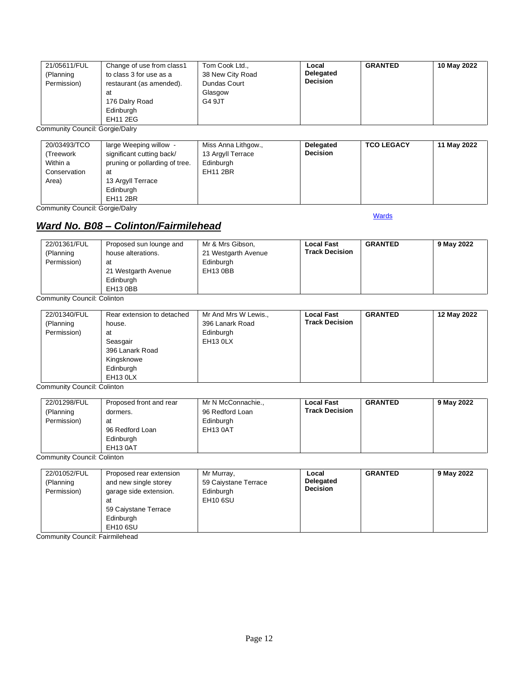| 21/05611/FUL<br>(Planning<br>Permission) | Change of use from class1<br>to class 3 for use as a<br>restaurant (as amended).<br>at<br>176 Dalry Road<br>Edinburgh<br><b>EH11 2EG</b> | Tom Cook Ltd.,<br>38 New City Road<br>Dundas Court<br>Glasgow<br>G4 9JT | Local<br>Delegated<br><b>Decision</b> | <b>GRANTED</b> | 10 May 2022 |
|------------------------------------------|------------------------------------------------------------------------------------------------------------------------------------------|-------------------------------------------------------------------------|---------------------------------------|----------------|-------------|
|------------------------------------------|------------------------------------------------------------------------------------------------------------------------------------------|-------------------------------------------------------------------------|---------------------------------------|----------------|-------------|

Community Council: Gorgie/Dalry

| 20/03493/TCO<br>(Treework)<br>Within a | large Weeping willow -<br>significant cutting back/<br>pruning or pollarding of tree. | Miss Anna Lithgow.,<br>13 Argyll Terrace<br>Edinburgh | Delegated<br><b>Decision</b> | <b>TCO LEGACY</b> | 11 May 2022 |
|----------------------------------------|---------------------------------------------------------------------------------------|-------------------------------------------------------|------------------------------|-------------------|-------------|
| Conservation                           | at                                                                                    | <b>EH11 2BR</b>                                       |                              |                   |             |
| Area)                                  | 13 Argyll Terrace                                                                     |                                                       |                              |                   |             |
|                                        | Edinburgh                                                                             |                                                       |                              |                   |             |
|                                        | <b>EH11 2BR</b>                                                                       |                                                       |                              |                   |             |

Community Council: Gorgie/Dalry

**[Wards](#page-0-0)** 

# <span id="page-11-0"></span>*Ward No. B08 – Colinton/Fairmilehead*

| 22/01361/FUL<br>(Planning<br>Permission) | Proposed sun lounge and<br>house alterations.<br>at<br>21 Westgarth Avenue<br>Edinburgh<br>EH13 0BB | Mr & Mrs Gibson,<br>21 Westgarth Avenue<br>Edinburgh<br>EH13 0BB | <b>Local Fast</b><br><b>Track Decision</b> | <b>GRANTED</b> | 9 May 2022 |
|------------------------------------------|-----------------------------------------------------------------------------------------------------|------------------------------------------------------------------|--------------------------------------------|----------------|------------|
|------------------------------------------|-----------------------------------------------------------------------------------------------------|------------------------------------------------------------------|--------------------------------------------|----------------|------------|

Community Council: Colinton

| 22/01340/FUL | Rear extension to detached | Mr And Mrs W Lewis., | <b>Local Fast</b>     | <b>GRANTED</b> | 12 May 2022 |
|--------------|----------------------------|----------------------|-----------------------|----------------|-------------|
| (Planning    | house.                     | 396 Lanark Road      | <b>Track Decision</b> |                |             |
| Permission)  | at                         | Edinburgh            |                       |                |             |
|              | Seasgair                   | EH <sub>13</sub> OLX |                       |                |             |
|              | 396 Lanark Road            |                      |                       |                |             |
|              | Kingsknowe                 |                      |                       |                |             |
|              | Edinburgh                  |                      |                       |                |             |
|              | EH <sub>13</sub> OLX       |                      |                       |                |             |

Community Council: Colinton

| 22/01298/FUL<br>(Planning<br>Permission) | Proposed front and rear<br>dormers.<br>at<br>96 Redford Loan<br>Edinburgh<br><b>EH13 0AT</b> | Mr N McConnachie.,<br>96 Redford Loan<br>Edinburgh<br>EH13 0AT | <b>Local Fast</b><br><b>Track Decision</b> | <b>GRANTED</b> | 9 May 2022 |
|------------------------------------------|----------------------------------------------------------------------------------------------|----------------------------------------------------------------|--------------------------------------------|----------------|------------|
|------------------------------------------|----------------------------------------------------------------------------------------------|----------------------------------------------------------------|--------------------------------------------|----------------|------------|

Community Council: Colinton

| 22/01052/FUL<br>(Planning<br>Permission) | Proposed rear extension<br>and new single storey<br>garage side extension.<br>at<br>59 Caiystane Terrace<br>Edinburgh<br>EH10 6SU | Mr Murray,<br>59 Caiystane Terrace<br>Edinburgh<br><b>EH10 6SU</b> | Local<br><b>Delegated</b><br><b>Decision</b> | <b>GRANTED</b> | 9 May 2022 |
|------------------------------------------|-----------------------------------------------------------------------------------------------------------------------------------|--------------------------------------------------------------------|----------------------------------------------|----------------|------------|
|------------------------------------------|-----------------------------------------------------------------------------------------------------------------------------------|--------------------------------------------------------------------|----------------------------------------------|----------------|------------|

Community Council: Fairmilehead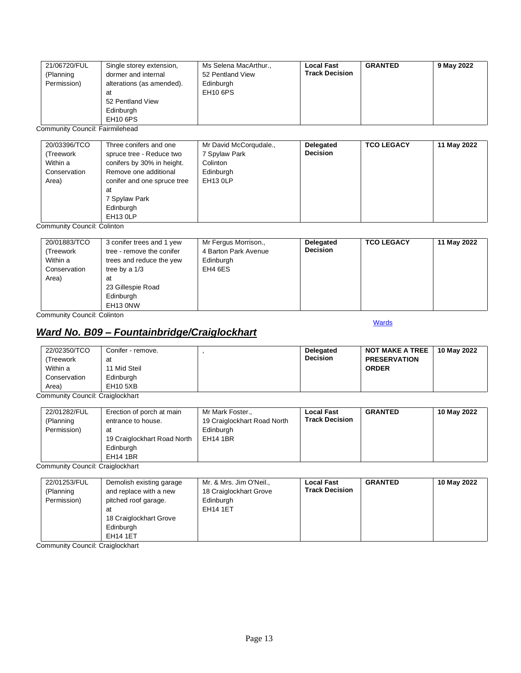| 21/06720/FUL<br>Single storey extension,<br>dormer and internal<br>(Planning<br>Permission)<br>alterations (as amended).<br>at<br>52 Pentland View<br>Edinburgh<br>EH <sub>10</sub> 6PS | Ms Selena MacArthur.,<br>52 Pentland View<br>Edinburgh<br>EH <sub>10</sub> 6PS | <b>Local Fast</b><br><b>Track Decision</b> | <b>GRANTED</b> | 9 May 2022 |
|-----------------------------------------------------------------------------------------------------------------------------------------------------------------------------------------|--------------------------------------------------------------------------------|--------------------------------------------|----------------|------------|
|-----------------------------------------------------------------------------------------------------------------------------------------------------------------------------------------|--------------------------------------------------------------------------------|--------------------------------------------|----------------|------------|

Community Council: Fairmilehead

| 20/03396/TCO | Three conifers and one      | Mr David McCorqudale., | Delegated       | <b>TCO LEGACY</b> | 11 May 2022 |
|--------------|-----------------------------|------------------------|-----------------|-------------------|-------------|
| (Treework    | spruce tree - Reduce two    | 7 Spylaw Park          | <b>Decision</b> |                   |             |
| Within a     | conifers by 30% in height.  | Colinton               |                 |                   |             |
| Conservation | Remove one additional       | Edinburgh              |                 |                   |             |
| Area)        | conifer and one spruce tree | <b>EH13 0LP</b>        |                 |                   |             |
|              | at                          |                        |                 |                   |             |
|              | 7 Spylaw Park               |                        |                 |                   |             |
|              | Edinburgh                   |                        |                 |                   |             |
|              | EH <sub>13</sub> OLP        |                        |                 |                   |             |

Community Council: Colinton

| 20/01883/TCO<br>(Treework)<br>Within a<br>Conservation<br>Area) | 3 conifer trees and 1 yew<br>tree - remove the conifer<br>trees and reduce the yew<br>tree by a 1/3<br>at<br>23 Gillespie Road<br>Edinburgh | Mr Fergus Morrison.,<br>4 Barton Park Avenue<br>Edinburgh<br>EH4 6ES | Delegated<br><b>Decision</b> | <b>TCO LEGACY</b> | 11 May 2022 |
|-----------------------------------------------------------------|---------------------------------------------------------------------------------------------------------------------------------------------|----------------------------------------------------------------------|------------------------------|-------------------|-------------|
|                                                                 | EH13 0NW                                                                                                                                    |                                                                      |                              |                   |             |

Community Council: Colinton

## <span id="page-12-0"></span>*Ward No. B09 – Fountainbridge/Craiglockhart*

#### **[Wards](#page-0-0)**

| 22/02350/TCO | Conifer - remove. | <b>Delegated</b> | <b>NOT MAKE A TREE</b> | 10 May 2022 |
|--------------|-------------------|------------------|------------------------|-------------|
| (Treework    | at                | <b>Decision</b>  | <b>PRESERVATION</b>    |             |
| Within a     | 11 Mid Steil      |                  | <b>ORDER</b>           |             |
| Conservation | Edinburgh         |                  |                        |             |
| Area)        | <b>EH10 5XB</b>   |                  |                        |             |

Community Council: Craiglockhart

| 22/01282/FUL<br>Erection of porch at main<br>(Planning<br>entrance to house.<br>Permission)<br>at<br>19 Craiglockhart Road North<br>Edinburgh<br><b>EH14 1BR</b> | Mr Mark Foster.,<br>19 Craiglockhart Road North<br>Edinburgh<br><b>EH14 1BR</b> | <b>Local Fast</b><br><b>Track Decision</b> | <b>GRANTED</b> | 10 May 2022 |
|------------------------------------------------------------------------------------------------------------------------------------------------------------------|---------------------------------------------------------------------------------|--------------------------------------------|----------------|-------------|
|------------------------------------------------------------------------------------------------------------------------------------------------------------------|---------------------------------------------------------------------------------|--------------------------------------------|----------------|-------------|

Community Council: Craiglockhart

| 22/01253/FUL | Demolish existing garage | Mr. & Mrs. Jim O'Neil., | <b>Local Fast</b>     | <b>GRANTED</b> | 10 May 2022 |
|--------------|--------------------------|-------------------------|-----------------------|----------------|-------------|
| (Planning    | and replace with a new   | 18 Craiglockhart Grove  | <b>Track Decision</b> |                |             |
| Permission)  | pitched roof garage.     | Edinburgh               |                       |                |             |
|              | at                       | <b>EH14 1ET</b>         |                       |                |             |
|              | 18 Craiglockhart Grove   |                         |                       |                |             |
|              | Edinburgh                |                         |                       |                |             |
|              | <b>EH14 1ET</b>          |                         |                       |                |             |

Community Council: Craiglockhart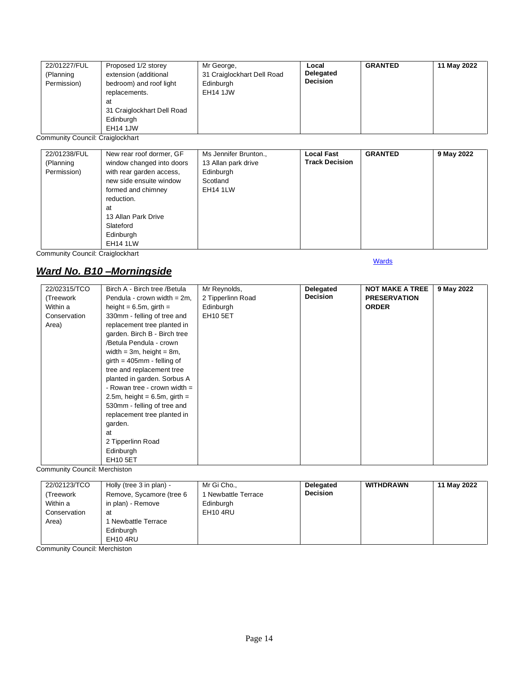| 22/01227/FUL<br>(Planning<br>Permission) | Proposed 1/2 storey<br>extension (additional<br>bedroom) and roof light<br>replacements.<br>at<br>31 Craiglockhart Dell Road<br>Edinburgh<br><b>EH14 1JW</b> | Mr George,<br>31 Craiglockhart Dell Road<br>Edinburgh<br><b>EH14 1JW</b> | Local<br>Delegated<br><b>Decision</b> | <b>GRANTED</b> | 11 May 2022 |
|------------------------------------------|--------------------------------------------------------------------------------------------------------------------------------------------------------------|--------------------------------------------------------------------------|---------------------------------------|----------------|-------------|
|------------------------------------------|--------------------------------------------------------------------------------------------------------------------------------------------------------------|--------------------------------------------------------------------------|---------------------------------------|----------------|-------------|

Community Council: Craiglockhart

| 22/01238/FUL | New rear roof dormer, GF  | Ms Jennifer Brunton., | <b>Local Fast</b><br><b>Track Decision</b> | <b>GRANTED</b> | 9 May 2022 |
|--------------|---------------------------|-----------------------|--------------------------------------------|----------------|------------|
| (Planning    | window changed into doors | 13 Allan park drive   |                                            |                |            |
| Permission)  | with rear garden access,  | Edinburgh             |                                            |                |            |
|              | new side ensuite window   | Scotland              |                                            |                |            |
|              | formed and chimney        | <b>EH14 1LW</b>       |                                            |                |            |
|              | reduction.                |                       |                                            |                |            |
|              | at                        |                       |                                            |                |            |
|              | 13 Allan Park Drive       |                       |                                            |                |            |
|              | Slateford                 |                       |                                            |                |            |
|              | Edinburgh                 |                       |                                            |                |            |
|              | <b>EH14 1LW</b>           |                       |                                            |                |            |

**[Wards](#page-0-0)** 

Community Council: Craiglockhart

### <span id="page-13-0"></span>*Ward No. B10 –Morningside*

| 22/02315/TCO | Birch A - Birch tree / Betula   | Mr Reynolds,      | Delegated       | <b>NOT MAKE A TREE</b> | 9 May 2022 |
|--------------|---------------------------------|-------------------|-----------------|------------------------|------------|
| (Treework    | Pendula - crown width = $2m$ ,  | 2 Tipperlinn Road | <b>Decision</b> | <b>PRESERVATION</b>    |            |
| Within a     | height = $6.5m$ , girth =       | Edinburgh         |                 | <b>ORDER</b>           |            |
| Conservation | 330mm - felling of tree and     | <b>EH10 5ET</b>   |                 |                        |            |
| Area)        | replacement tree planted in     |                   |                 |                        |            |
|              | garden. Birch B - Birch tree    |                   |                 |                        |            |
|              | /Betula Pendula - crown         |                   |                 |                        |            |
|              | width = $3m$ , height = $8m$ ,  |                   |                 |                        |            |
|              | $girth = 405mm - felling of$    |                   |                 |                        |            |
|              | tree and replacement tree       |                   |                 |                        |            |
|              | planted in garden. Sorbus A     |                   |                 |                        |            |
|              | - Rowan tree - crown width $=$  |                   |                 |                        |            |
|              | 2.5m, height = $6.5m$ , girth = |                   |                 |                        |            |
|              | 530mm - felling of tree and     |                   |                 |                        |            |
|              | replacement tree planted in     |                   |                 |                        |            |
|              | garden.                         |                   |                 |                        |            |
|              | at                              |                   |                 |                        |            |
|              | 2 Tipperlinn Road               |                   |                 |                        |            |
|              | Edinburgh                       |                   |                 |                        |            |
|              | <b>EH10 5ET</b>                 |                   |                 |                        |            |

Community Council: Merchiston

| 22/02123/TCO<br>(Treework<br>Within a<br>Conservation<br>Area) | Holly (tree 3 in plan) -<br>Remove, Sycamore (tree 6<br>in plan) - Remove<br>at<br>  Newbattle Terrace<br>Edinburgh | Mr Gi Cho.,<br>1 Newbattle Terrace<br>Edinburgh<br>EH <sub>10</sub> 4RU | <b>Delegated</b><br><b>Decision</b> | <b>WITHDRAWN</b> | 11 May 2022 |
|----------------------------------------------------------------|---------------------------------------------------------------------------------------------------------------------|-------------------------------------------------------------------------|-------------------------------------|------------------|-------------|
|                                                                | EH <sub>10</sub> 4RU                                                                                                |                                                                         |                                     |                  |             |

Community Council: Merchiston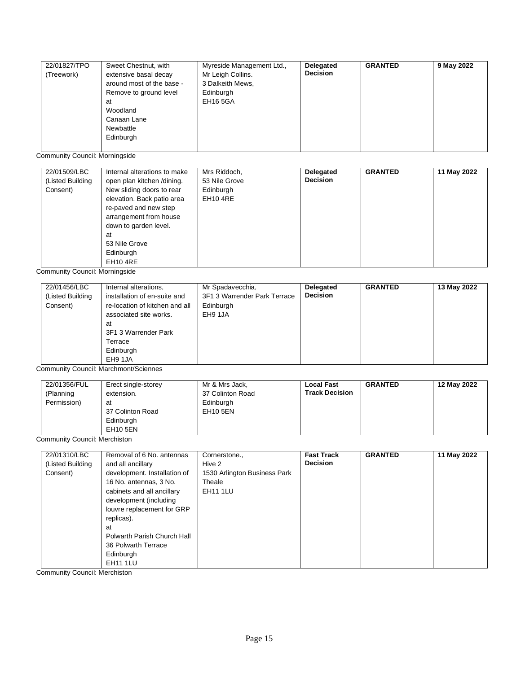| Canaan Lane<br>Newbattle<br>Edinburgh | 22/01827/TPO<br>(Treework) | Sweet Chestnut, with<br>extensive basal decay<br>around most of the base -<br>Remove to ground level<br>at<br>Woodland | Myreside Management Ltd.,<br>Mr Leigh Collins.<br>3 Dalkeith Mews,<br>Edinburgh<br><b>EH16 5GA</b> | Delegated<br><b>Decision</b> | <b>GRANTED</b> | 9 May 2022 |
|---------------------------------------|----------------------------|------------------------------------------------------------------------------------------------------------------------|----------------------------------------------------------------------------------------------------|------------------------------|----------------|------------|
|---------------------------------------|----------------------------|------------------------------------------------------------------------------------------------------------------------|----------------------------------------------------------------------------------------------------|------------------------------|----------------|------------|

Community Council: Morningside

| 22/01509/LBC     | Internal alterations to make | Mrs Riddoch,    | Delegated       | <b>GRANTED</b> | 11 May 2022 |
|------------------|------------------------------|-----------------|-----------------|----------------|-------------|
| (Listed Building | open plan kitchen /dining.   | 53 Nile Grove   | <b>Decision</b> |                |             |
| Consent)         | New sliding doors to rear    | Edinburgh       |                 |                |             |
|                  | elevation. Back patio area   | <b>EH10 4RE</b> |                 |                |             |
|                  | re-paved and new step        |                 |                 |                |             |
|                  | arrangement from house       |                 |                 |                |             |
|                  | down to garden level.        |                 |                 |                |             |
|                  | at                           |                 |                 |                |             |
|                  | 53 Nile Grove                |                 |                 |                |             |
|                  | Edinburgh                    |                 |                 |                |             |
|                  | <b>EH10 4RE</b>              |                 |                 |                |             |

Community Council: Morningside

| 22/01456/LBC<br>(Listed Building<br>Consent)<br>at<br>Terrace<br>Edinburgh<br>EH9 1JA | Mr Spadavecchia,<br>Internal alterations,<br>3F1 3 Warrender Park Terrace<br>installation of en-suite and<br>re-location of kitchen and all<br>Edinburgh<br>associated site works.<br>EH9 1JA<br>3F1 3 Warrender Park | Delegated<br><b>Decision</b> | <b>GRANTED</b> | 13 May 2022 |
|---------------------------------------------------------------------------------------|-----------------------------------------------------------------------------------------------------------------------------------------------------------------------------------------------------------------------|------------------------------|----------------|-------------|
|---------------------------------------------------------------------------------------|-----------------------------------------------------------------------------------------------------------------------------------------------------------------------------------------------------------------------|------------------------------|----------------|-------------|

Community Council: Marchmont/Sciennes

| 22/01356/FUL<br>(Planning<br>Permission) | Erect single-storey<br>extension.<br>at<br>37 Colinton Road<br>Edinburgh<br><b>EH10 5EN</b> | Mr & Mrs Jack,<br>37 Colinton Road<br>Edinburgh<br><b>EH10 5EN</b> | <b>Local Fast</b><br><b>Track Decision</b> | <b>GRANTED</b> | 12 May 2022 |
|------------------------------------------|---------------------------------------------------------------------------------------------|--------------------------------------------------------------------|--------------------------------------------|----------------|-------------|
|------------------------------------------|---------------------------------------------------------------------------------------------|--------------------------------------------------------------------|--------------------------------------------|----------------|-------------|

Community Council: Merchiston

| 22/01310/LBC     | Removal of 6 No. antennas    | Cornerstone.,                | <b>Fast Track</b> | <b>GRANTED</b> | 11 May 2022 |
|------------------|------------------------------|------------------------------|-------------------|----------------|-------------|
| (Listed Building | and all ancillary            | Hive 2                       | <b>Decision</b>   |                |             |
| Consent)         | development. Installation of | 1530 Arlington Business Park |                   |                |             |
|                  | 16 No. antennas, 3 No.       | Theale                       |                   |                |             |
|                  | cabinets and all ancillary   | <b>EH11 1LU</b>              |                   |                |             |
|                  | development (including       |                              |                   |                |             |
|                  | louvre replacement for GRP   |                              |                   |                |             |
|                  | replicas).                   |                              |                   |                |             |
|                  | at                           |                              |                   |                |             |
|                  | Polwarth Parish Church Hall  |                              |                   |                |             |
|                  | 36 Polwarth Terrace          |                              |                   |                |             |
|                  | Edinburgh                    |                              |                   |                |             |
|                  | <b>EH11 1LU</b>              |                              |                   |                |             |

Community Council: Merchiston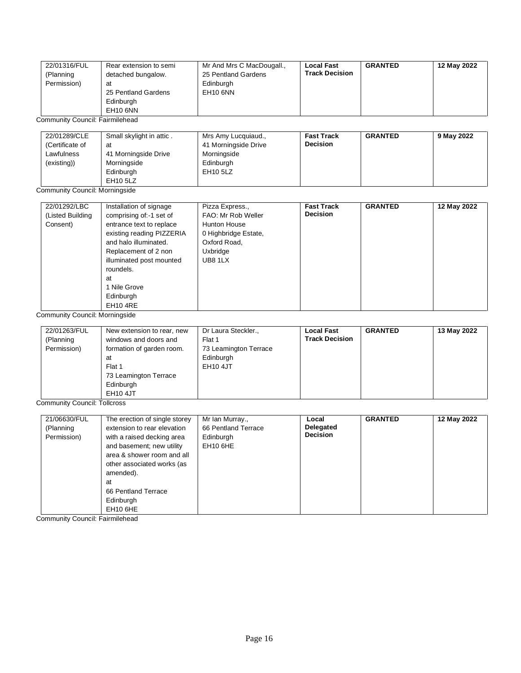| 22/01316/FUL                    | Rear extension to semi   | Mr And Mrs C MacDougall., | <b>Local Fast</b>     | <b>GRANTED</b> | 12 May 2022 |
|---------------------------------|--------------------------|---------------------------|-----------------------|----------------|-------------|
| (Planning                       | detached bungalow.       | 25 Pentland Gardens       | <b>Track Decision</b> |                |             |
| Permission)                     | at                       | Edinburgh                 |                       |                |             |
|                                 | 25 Pentland Gardens      | <b>EH10 6NN</b>           |                       |                |             |
|                                 | Edinburgh                |                           |                       |                |             |
|                                 | EH <sub>10</sub> 6NN     |                           |                       |                |             |
| Community Council: Fairmilehead |                          |                           |                       |                |             |
|                                 |                          |                           |                       |                |             |
| 22/01289/CLE                    | Small skylight in attic. | Mrs Amy Lucquiaud.,       | <b>Fast Track</b>     | <b>GRANTED</b> | 9 May 2022  |
|                                 |                          |                           |                       |                |             |
| (Certificate of                 | at                       | 41 Morningside Drive      | <b>Decision</b>       |                |             |
| Lawfulness                      | 41 Morningside Drive     | Morningside               |                       |                |             |

EH10 5LZ

EH10 5LZ Community Council: Morningside

Edinburgh

| 22/01292/LBC     | Installation of signage   | Pizza Express.,      | <b>Fast Track</b> | <b>GRANTED</b> | 12 May 2022 |
|------------------|---------------------------|----------------------|-------------------|----------------|-------------|
| (Listed Building | comprising of:-1 set of   | FAO: Mr Rob Weller   | <b>Decision</b>   |                |             |
| Consent)         | entrance text to replace  | <b>Hunton House</b>  |                   |                |             |
|                  | existing reading PIZZERIA | 0 Highbridge Estate, |                   |                |             |
|                  | and halo illuminated.     | Oxford Road,         |                   |                |             |
|                  | Replacement of 2 non      | Uxbridge             |                   |                |             |
|                  | illuminated post mounted  | UB8 1LX              |                   |                |             |
|                  | roundels.                 |                      |                   |                |             |
|                  | at                        |                      |                   |                |             |
|                  | 1 Nile Grove              |                      |                   |                |             |
|                  | Edinburgh                 |                      |                   |                |             |
|                  | <b>EH10 4RE</b>           |                      |                   |                |             |

Community Council: Morningside

| 22/01263/FUL<br>(Planning<br>Permission) | New extension to rear, new<br>windows and doors and<br>formation of garden room.<br>at<br>Flat 1<br>73 Leamington Terrace<br>Edinburgh | Dr Laura Steckler.,<br>Flat 1<br>73 Leamington Terrace<br>Edinburgh<br><b>EH10 4JT</b> | <b>Local Fast</b><br><b>Track Decision</b> | <b>GRANTED</b> | 13 May 2022 |
|------------------------------------------|----------------------------------------------------------------------------------------------------------------------------------------|----------------------------------------------------------------------------------------|--------------------------------------------|----------------|-------------|
|                                          | <b>EH10 4JT</b>                                                                                                                        |                                                                                        |                                            |                |             |

Community Council: Tollcross

| 21/06630/FUL | The erection of single storey<br>extension to rear elevation | Mr Ian Murray.,<br>66 Pentland Terrace | Local<br>Delegated | <b>GRANTED</b> | 12 May 2022 |
|--------------|--------------------------------------------------------------|----------------------------------------|--------------------|----------------|-------------|
| (Planning    |                                                              |                                        | <b>Decision</b>    |                |             |
| Permission)  | with a raised decking area                                   | Edinburgh                              |                    |                |             |
|              | and basement; new utility                                    | EH <sub>10</sub> 6HE                   |                    |                |             |
|              | area & shower room and all                                   |                                        |                    |                |             |
|              | other associated works (as                                   |                                        |                    |                |             |
|              | amended).                                                    |                                        |                    |                |             |
|              | at                                                           |                                        |                    |                |             |
|              | 66 Pentland Terrace                                          |                                        |                    |                |             |
|              | Edinburgh                                                    |                                        |                    |                |             |
|              | EH <sub>10</sub> 6HE                                         |                                        |                    |                |             |

Community Council: Fairmilehead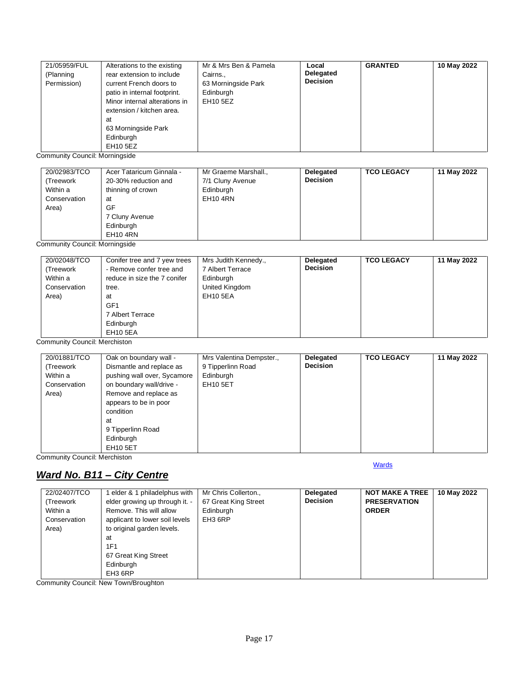| 21/05959/FUL<br>(Planning<br>Permission) | Alterations to the existing<br>rear extension to include<br>current French doors to<br>patio in internal footprint.<br>Minor internal alterations in<br>extension / kitchen area.<br>at<br>63 Morningside Park<br>Edinburgh | Mr & Mrs Ben & Pamela<br>Cairns.,<br>63 Morningside Park<br>Edinburgh<br>EH10 5EZ | Local<br><b>Delegated</b><br><b>Decision</b> | <b>GRANTED</b> | 10 May 2022 |
|------------------------------------------|-----------------------------------------------------------------------------------------------------------------------------------------------------------------------------------------------------------------------------|-----------------------------------------------------------------------------------|----------------------------------------------|----------------|-------------|
|                                          | EH10 5EZ                                                                                                                                                                                                                    |                                                                                   |                                              |                |             |

Community Council: Morningside

| 20/02983/TCO | Acer Tataricum Ginnala - | Mr Graeme Marshall., | Delegated       | <b>TCO LEGACY</b> | 11 May 2022 |
|--------------|--------------------------|----------------------|-----------------|-------------------|-------------|
| (Treework    | 20-30% reduction and     | 7/1 Cluny Avenue     | <b>Decision</b> |                   |             |
| Within a     | thinning of crown        | Edinburgh            |                 |                   |             |
| Conservation | at                       | EH10 4RN             |                 |                   |             |
| Area)        | GF                       |                      |                 |                   |             |
|              | 7 Cluny Avenue           |                      |                 |                   |             |
|              | Edinburgh                |                      |                 |                   |             |
|              | <b>EH10 4RN</b>          |                      |                 |                   |             |

Community Council: Morningside

Community Council: Merchiston

| 20/01881/TCO<br>(Treework<br>Within a<br>Conservation<br>Area) | Oak on boundary wall -<br>Dismantle and replace as<br>pushing wall over, Sycamore<br>on boundary wall/drive -<br>Remove and replace as<br>appears to be in poor<br>condition<br>at<br>9 Tipperlinn Road | Mrs Valentina Dempster.,<br>9 Tipperlinn Road<br>Edinburgh<br><b>EH10 5ET</b> | Delegated<br><b>Decision</b> | <b>TCO LEGACY</b> | 11 May 2022 |
|----------------------------------------------------------------|---------------------------------------------------------------------------------------------------------------------------------------------------------------------------------------------------------|-------------------------------------------------------------------------------|------------------------------|-------------------|-------------|
|                                                                |                                                                                                                                                                                                         |                                                                               |                              |                   |             |
|                                                                | Edinburgh<br><b>EH10 5ET</b>                                                                                                                                                                            |                                                                               |                              |                   |             |

**[Wards](#page-0-0)** 

Community Council: Merchiston

# <span id="page-16-0"></span>*Ward No. B11 – City Centre*

| 22/02407/TCO | 1 elder & 1 philadelphus with  | Mr Chris Collerton., | Delegated       | <b>NOT MAKE A TREE</b> | 10 May 2022 |
|--------------|--------------------------------|----------------------|-----------------|------------------------|-------------|
| (Treework    | elder growing up through it. - | 67 Great King Street | <b>Decision</b> | <b>PRESERVATION</b>    |             |
| Within a     | Remove. This will allow        | Edinburgh            |                 | <b>ORDER</b>           |             |
| Conservation | applicant to lower soil levels | EH3 6RP              |                 |                        |             |
| Area)        | to original garden levels.     |                      |                 |                        |             |
|              | at                             |                      |                 |                        |             |
|              | <b>1F1</b>                     |                      |                 |                        |             |
|              | 67 Great King Street           |                      |                 |                        |             |
|              | Edinburgh                      |                      |                 |                        |             |
|              | EH3 6RP                        |                      |                 |                        |             |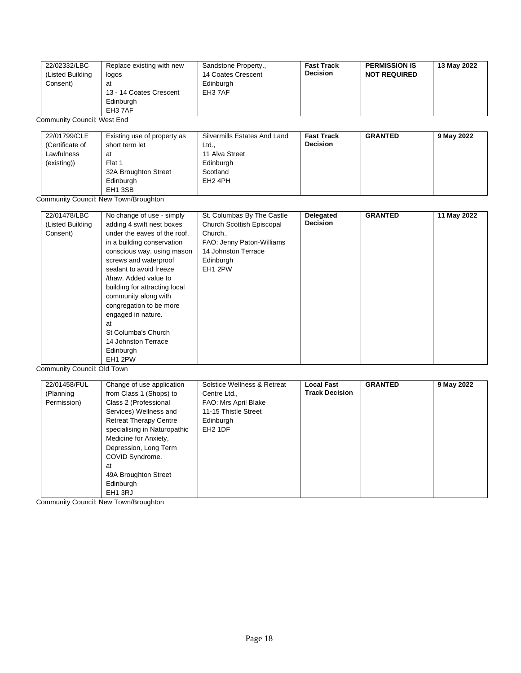| 22/02332/LBC<br>(Listed Building<br>Consent) | Replace existing with new<br>logos<br>at<br>13 - 14 Coates Crescent<br>Edinburgh<br>EH3 7AF | Sandstone Property.,<br>14 Coates Crescent<br>Edinburgh<br>EH3 7AF | <b>Fast Track</b><br><b>Decision</b> | <b>PERMISSION IS</b><br><b>NOT REQUIRED</b> | 13 May 2022 |
|----------------------------------------------|---------------------------------------------------------------------------------------------|--------------------------------------------------------------------|--------------------------------------|---------------------------------------------|-------------|
| <b>Community Council: West End</b>           |                                                                                             |                                                                    |                                      |                                             |             |

| 22/01799/CLE    | Existing use of property as | Silvermills Estates And Land | <b>Fast Track</b> | <b>GRANTED</b> | 9 May 2022 |
|-----------------|-----------------------------|------------------------------|-------------------|----------------|------------|
| (Certificate of | short term let              | Ltd.,                        | <b>Decision</b>   |                |            |
| Lawfulness      | at                          | 11 Alva Street               |                   |                |            |
| (existing))     | Flat 1                      | Edinburgh                    |                   |                |            |
|                 | 32A Broughton Street        | Scotland                     |                   |                |            |
|                 | Edinburgh                   | EH <sub>2</sub> 4PH          |                   |                |            |
|                 | EH <sub>1</sub> 3SB         |                              |                   |                |            |

Community Council: New Town/Broughton

| 22/01478/LBC     | No change of use - simply                       | St. Columbas By The Castle | Delegated       | <b>GRANTED</b> | 11 May 2022 |
|------------------|-------------------------------------------------|----------------------------|-----------------|----------------|-------------|
| (Listed Building | adding 4 swift nest boxes                       | Church Scottish Episcopal  | <b>Decision</b> |                |             |
| Consent)         | under the eaves of the roof.                    | Church.,                   |                 |                |             |
|                  | in a building conservation                      | FAO: Jenny Paton-Williams  |                 |                |             |
|                  | conscious way, using mason                      | 14 Johnston Terrace        |                 |                |             |
|                  | screws and waterproof                           | Edinburgh                  |                 |                |             |
|                  | sealant to avoid freeze                         | EH <sub>1</sub> 2PW        |                 |                |             |
|                  | /thaw. Added value to                           |                            |                 |                |             |
|                  | building for attracting local                   |                            |                 |                |             |
|                  | community along with                            |                            |                 |                |             |
|                  | congregation to be more                         |                            |                 |                |             |
|                  | engaged in nature.                              |                            |                 |                |             |
|                  | at                                              |                            |                 |                |             |
|                  | St Columba's Church                             |                            |                 |                |             |
|                  | 14 Johnston Terrace                             |                            |                 |                |             |
|                  | Edinburgh                                       |                            |                 |                |             |
| $\sim$ $\sim$    | EH <sub>1</sub> 2PW<br>$\cdots$ $\sim$ $\cdots$ |                            |                 |                |             |

Community Council: Old Town

| 22/01458/FUL | Change of use application     | Solstice Wellness & Retreat | <b>Local Fast</b>     | <b>GRANTED</b> | 9 May 2022 |
|--------------|-------------------------------|-----------------------------|-----------------------|----------------|------------|
| (Planning    | from Class 1 (Shops) to       | Centre Ltd.,                | <b>Track Decision</b> |                |            |
| Permission)  | Class 2 (Professional         | FAO: Mrs April Blake        |                       |                |            |
|              | Services) Wellness and        | 11-15 Thistle Street        |                       |                |            |
|              | <b>Retreat Therapy Centre</b> | Edinburgh                   |                       |                |            |
|              | specialising in Naturopathic  | EH <sub>2</sub> 1DF         |                       |                |            |
|              | Medicine for Anxiety,         |                             |                       |                |            |
|              | Depression, Long Term         |                             |                       |                |            |
|              | COVID Syndrome.               |                             |                       |                |            |
|              | at                            |                             |                       |                |            |
|              | 49A Broughton Street          |                             |                       |                |            |
|              | Edinburgh                     |                             |                       |                |            |
|              | EH <sub>1</sub> 3RJ           |                             |                       |                |            |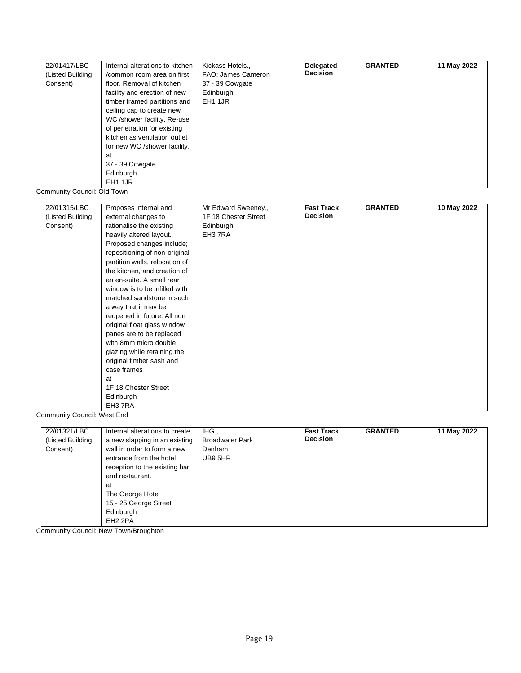| 22/01417/LBC     | Internal alterations to kitchen | Kickass Hotels.,   | Delegated       | <b>GRANTED</b> | 11 May 2022 |
|------------------|---------------------------------|--------------------|-----------------|----------------|-------------|
| (Listed Building | /common room area on first      | FAO: James Cameron | <b>Decision</b> |                |             |
| Consent)         | floor. Removal of kitchen       | 37 - 39 Cowgate    |                 |                |             |
|                  | facility and erection of new    | Edinburgh          |                 |                |             |
|                  | timber framed partitions and    | EH1 1JR            |                 |                |             |
|                  | ceiling cap to create new       |                    |                 |                |             |
|                  | WC /shower facility. Re-use     |                    |                 |                |             |
|                  | of penetration for existing     |                    |                 |                |             |
|                  | kitchen as ventilation outlet   |                    |                 |                |             |
|                  | for new WC /shower facility.    |                    |                 |                |             |
|                  | at                              |                    |                 |                |             |
|                  | 37 - 39 Cowgate                 |                    |                 |                |             |
|                  | Edinburgh                       |                    |                 |                |             |
|                  | EH1 1JR                         |                    |                 |                |             |

Community Council: Old Town

| 22/01315/LBC     | Proposes internal and          | Mr Edward Sweeney.,  | <b>Fast Track</b> | <b>GRANTED</b> | 10 May 2022 |
|------------------|--------------------------------|----------------------|-------------------|----------------|-------------|
| (Listed Building | external changes to            | 1F 18 Chester Street | <b>Decision</b>   |                |             |
| Consent)         | rationalise the existing       | Edinburgh            |                   |                |             |
|                  | heavily altered layout.        | EH3 7RA              |                   |                |             |
|                  | Proposed changes include;      |                      |                   |                |             |
|                  | repositioning of non-original  |                      |                   |                |             |
|                  | partition walls, relocation of |                      |                   |                |             |
|                  | the kitchen, and creation of   |                      |                   |                |             |
|                  | an en-suite. A small rear      |                      |                   |                |             |
|                  | window is to be infilled with  |                      |                   |                |             |
|                  | matched sandstone in such      |                      |                   |                |             |
|                  | a way that it may be           |                      |                   |                |             |
|                  | reopened in future. All non    |                      |                   |                |             |
|                  | original float glass window    |                      |                   |                |             |
|                  | panes are to be replaced       |                      |                   |                |             |
|                  | with 8mm micro double          |                      |                   |                |             |
|                  | glazing while retaining the    |                      |                   |                |             |
|                  | original timber sash and       |                      |                   |                |             |
|                  | case frames                    |                      |                   |                |             |
|                  | at                             |                      |                   |                |             |
|                  | 1F 18 Chester Street           |                      |                   |                |             |
|                  | Edinburgh                      |                      |                   |                |             |
|                  | EH3 7RA                        |                      |                   |                |             |

Community Council: West End

| 22/01321/LBC<br>(Listed Building<br>Consent) | Internal alterations to create<br>a new slapping in an existing<br>wall in order to form a new<br>entrance from the hotel<br>reception to the existing bar<br>and restaurant. | IHG.,<br><b>Broadwater Park</b><br>Denham<br>UB9 5HR | <b>Fast Track</b><br><b>Decision</b> | <b>GRANTED</b> | 11 May 2022 |
|----------------------------------------------|-------------------------------------------------------------------------------------------------------------------------------------------------------------------------------|------------------------------------------------------|--------------------------------------|----------------|-------------|
|                                              | at<br>The George Hotel<br>15 - 25 George Street<br>Edinburgh<br>EH <sub>2</sub> 2PA                                                                                           |                                                      |                                      |                |             |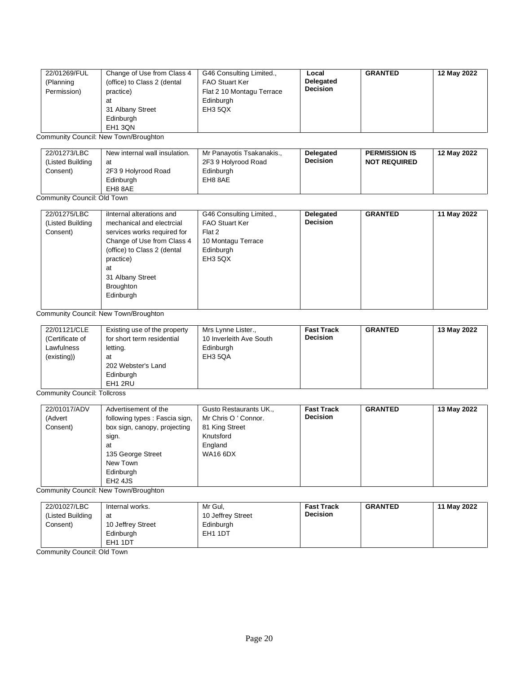| 22/01269/FUL<br>(Planning<br>Permission) | Change of Use from Class 4<br>(office) to Class 2 (dental<br>practice)<br>at<br>31 Albany Street<br>Edinburgh<br>EH <sub>1</sub> 3QN | G46 Consulting Limited.,<br><b>FAO Stuart Ker</b><br>Flat 2 10 Montagu Terrace<br>Edinburgh<br>EH3 5QX | Local<br><b>Delegated</b><br><b>Decision</b> | <b>GRANTED</b> | 12 May 2022 |
|------------------------------------------|--------------------------------------------------------------------------------------------------------------------------------------|--------------------------------------------------------------------------------------------------------|----------------------------------------------|----------------|-------------|
|------------------------------------------|--------------------------------------------------------------------------------------------------------------------------------------|--------------------------------------------------------------------------------------------------------|----------------------------------------------|----------------|-------------|

Community Council: New Town/Broughton

| 22/01273/LBC<br>(Listed Building | New internal wall insulation.<br>at | Mr Panayotis Tsakanakis.,<br>2F3 9 Holyrood Road | <b>Delegated</b><br><b>Decision</b> | <b>PERMISSION IS</b><br><b>NOT REQUIRED</b> | 12 May 2022 |
|----------------------------------|-------------------------------------|--------------------------------------------------|-------------------------------------|---------------------------------------------|-------------|
| Consent)                         | 2F3 9 Holyrood Road<br>Edinburgh    | Edinburgh<br>EH8 8AE                             |                                     |                                             |             |
|                                  | EH8 8AE                             |                                                  |                                     |                                             |             |

#### Community Council: Old Town

| mechanical and electrcial<br>services works required for | <b>FAO Stuart Ker</b> | <b>Decision</b> |  |
|----------------------------------------------------------|-----------------------|-----------------|--|
|                                                          |                       |                 |  |
|                                                          | Flat 2                |                 |  |
| Change of Use from Class 4                               | 10 Montagu Terrace    |                 |  |
| (office) to Class 2 (dental                              | Edinburgh             |                 |  |
| practice)                                                | EH3 5QX               |                 |  |
|                                                          |                       |                 |  |
| 31 Albany Street                                         |                       |                 |  |
| Broughton                                                |                       |                 |  |
| Edinburgh                                                |                       |                 |  |
|                                                          |                       |                 |  |

Community Council: New Town/Broughton

| 22/01121/CLE<br>Mrs Lynne Lister.,<br>Existing use of the property<br>10 Inverleith Ave South<br>for short term residential<br>(Certificate of<br>Lawfulness<br>Edinburgh<br>letting.<br>(existing))<br>EH3 5QA<br>at<br>202 Webster's Land<br>Edinburgh<br>EH1 2RU | <b>Fast Track</b><br><b>Decision</b> | <b>GRANTED</b> | 13 May 2022 |
|---------------------------------------------------------------------------------------------------------------------------------------------------------------------------------------------------------------------------------------------------------------------|--------------------------------------|----------------|-------------|
|---------------------------------------------------------------------------------------------------------------------------------------------------------------------------------------------------------------------------------------------------------------------|--------------------------------------|----------------|-------------|

Community Council: Tollcross

| 22/01017/ADV | Advertisement of the           | Gusto Restaurants UK., | <b>Fast Track</b> | <b>GRANTED</b> | 13 May 2022 |
|--------------|--------------------------------|------------------------|-------------------|----------------|-------------|
| (Advert      | following types : Fascia sign, | Mr Chris O ' Connor.   | <b>Decision</b>   |                |             |
| Consent)     | box sign, canopy, projecting   | 81 King Street         |                   |                |             |
|              | sign.                          | Knutsford              |                   |                |             |
|              | at                             | England                |                   |                |             |
|              | 135 George Street              | <b>WA16 6DX</b>        |                   |                |             |
|              | New Town                       |                        |                   |                |             |
|              | Edinburgh                      |                        |                   |                |             |
|              | EH <sub>2</sub> 4JS            |                        |                   |                |             |

Community Council: New Town/Broughton

| 22/01027/LBC     | Internal works.     | Mr Gul.             | <b>Fast Track</b> | <b>GRANTED</b> | 11 May 2022 |
|------------------|---------------------|---------------------|-------------------|----------------|-------------|
| (Listed Building | at                  | 10 Jeffrey Street   | <b>Decision</b>   |                |             |
| Consent)         | 10 Jeffrey Street   | Edinburgh           |                   |                |             |
|                  | Edinburgh           | EH <sub>1</sub> 1DT |                   |                |             |
|                  | EH <sub>1</sub> 1DT |                     |                   |                |             |

Community Council: Old Town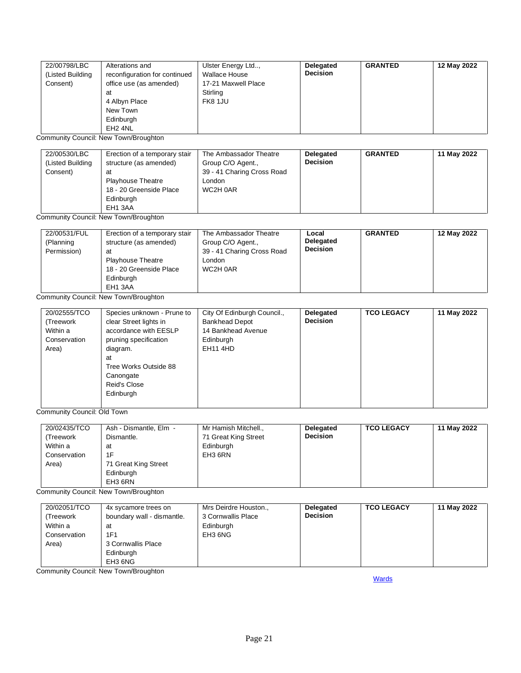| 22/00798/LBC<br>(Listed Building<br>Consent) | Alterations and<br>reconfiguration for continued<br>office use (as amended)<br>at<br>4 Albyn Place<br>New Town<br>Edinburgh<br>EH <sub>2</sub> 4NL | Ulster Energy Ltd,<br><b>Wallace House</b><br>17-21 Maxwell Place<br>Stirling<br>FK8 1JU | Delegated<br><b>Decision</b> | <b>GRANTED</b> | 12 May 2022 |
|----------------------------------------------|----------------------------------------------------------------------------------------------------------------------------------------------------|------------------------------------------------------------------------------------------|------------------------------|----------------|-------------|
|----------------------------------------------|----------------------------------------------------------------------------------------------------------------------------------------------------|------------------------------------------------------------------------------------------|------------------------------|----------------|-------------|

Community Council: New Town/Broughton

| 22/00530/LBC<br>(Listed Building<br>Consent) | Erection of a temporary stair<br>structure (as amended)<br>at<br><b>Playhouse Theatre</b><br>18 - 20 Greenside Place<br>Edinburgh | The Ambassador Theatre<br>Group C/O Agent.,<br>39 - 41 Charing Cross Road<br>London<br>WC2H 0AR | Delegated<br><b>Decision</b> | <b>GRANTED</b> | 11 May 2022 |
|----------------------------------------------|-----------------------------------------------------------------------------------------------------------------------------------|-------------------------------------------------------------------------------------------------|------------------------------|----------------|-------------|
|                                              | EH1 3AA                                                                                                                           |                                                                                                 |                              |                |             |

Community Council: New Town/Broughton

| 22/00531/FUL<br>(Planning<br>Permission) | Erection of a temporary stair<br>structure (as amended)<br>at<br><b>Playhouse Theatre</b><br>18 - 20 Greenside Place<br>Edinburgh<br>EH1 3AA | The Ambassador Theatre<br>Group C/O Agent.,<br>39 - 41 Charing Cross Road<br>London<br>WC2H 0AR | Local<br><b>Delegated</b><br><b>Decision</b> | <b>GRANTED</b> | 12 May 2022 |
|------------------------------------------|----------------------------------------------------------------------------------------------------------------------------------------------|-------------------------------------------------------------------------------------------------|----------------------------------------------|----------------|-------------|
|------------------------------------------|----------------------------------------------------------------------------------------------------------------------------------------------|-------------------------------------------------------------------------------------------------|----------------------------------------------|----------------|-------------|

Community Council: New Town/Broughton

| 20/02555/TCO | Species unknown - Prune to | City Of Edinburgh Council., | Delegated       | <b>TCO LEGACY</b> | 11 May 2022 |
|--------------|----------------------------|-----------------------------|-----------------|-------------------|-------------|
| (Treework    | clear Street lights in     | <b>Bankhead Depot</b>       | <b>Decision</b> |                   |             |
| Within a     | accordance with EESLP      | 14 Bankhead Avenue          |                 |                   |             |
| Conservation | pruning specification      | Edinburgh                   |                 |                   |             |
| Area)        | diagram.                   | <b>EH11 4HD</b>             |                 |                   |             |
|              | at                         |                             |                 |                   |             |
|              | Tree Works Outside 88      |                             |                 |                   |             |
|              | Canongate                  |                             |                 |                   |             |
|              | Reid's Close               |                             |                 |                   |             |
|              | Edinburgh                  |                             |                 |                   |             |
|              |                            |                             |                 |                   |             |

L<br>Community Council: Old Town

| 20/02435/TCO<br>(Treework<br>Within a<br>Conservation<br>Area) | Ash - Dismantle, Elm -<br>Dismantle.<br>at<br>1F<br>71 Great King Street | Mr Hamish Mitchell.,<br>71 Great King Street<br>Edinburgh<br>EH3 6RN | Delegated<br><b>Decision</b> | <b>TCO LEGACY</b> | 11 May 2022 |
|----------------------------------------------------------------|--------------------------------------------------------------------------|----------------------------------------------------------------------|------------------------------|-------------------|-------------|
|                                                                | Edinburgh<br>EH3 6RN                                                     |                                                                      |                              |                   |             |

Community Council: New Town/Broughton

| 20/02051/TCO | 4x sycamore trees on       | Mrs Deirdre Houston., | <b>Delegated</b> | <b>TCO LEGACY</b> | 11 May 2022 |
|--------------|----------------------------|-----------------------|------------------|-------------------|-------------|
| (Treework    | boundary wall - dismantle. | 3 Cornwallis Place    | <b>Decision</b>  |                   |             |
| Within a     | at                         | Edinburgh             |                  |                   |             |
| Conservation | 1F1                        | EH3 6NG               |                  |                   |             |
| Area)        | 3 Cornwallis Place         |                       |                  |                   |             |
|              | Edinburgh                  |                       |                  |                   |             |
|              | EH3 6NG                    |                       |                  |                   |             |

<span id="page-20-0"></span>Community Council: New Town/Broughton

**[Wards](#page-0-0)**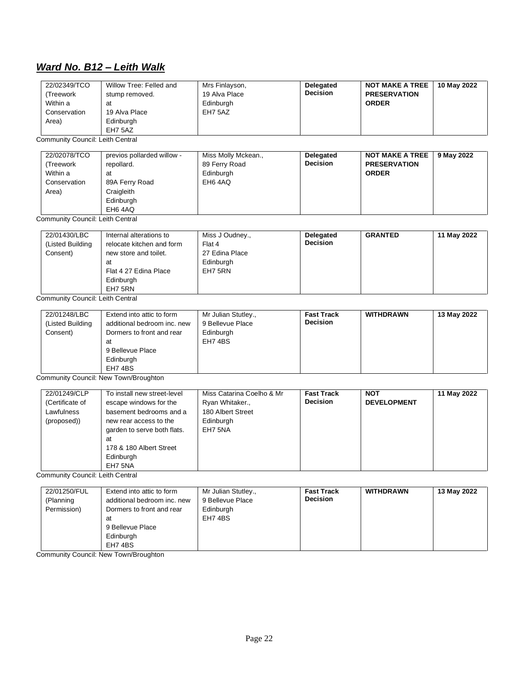## *Ward No. B12 – Leith Walk*

| 22/02349/TCO<br>Treework<br>Within a<br>Conservation<br>Area) | Willow Tree: Felled and<br>stump removed.<br>at<br>19 Alva Place<br>Edinburgh<br>EH7 5AZ | Mrs Finlayson,<br>19 Alva Place<br>Edinburgh<br>EH7 5AZ | Delegated<br><b>Decision</b> | <b>NOT MAKE A TREE</b><br><b>PRESERVATION</b><br><b>ORDER</b> | 10 May 2022 |
|---------------------------------------------------------------|------------------------------------------------------------------------------------------|---------------------------------------------------------|------------------------------|---------------------------------------------------------------|-------------|
|---------------------------------------------------------------|------------------------------------------------------------------------------------------|---------------------------------------------------------|------------------------------|---------------------------------------------------------------|-------------|

Community Council: Leith Central

| 22/02078/TCO<br>(Treework<br>Within a | previos pollarded willow -<br>repollard.<br>at       | Miss Molly Mckean.,<br>89 Ferry Road<br>Edinburgh | Delegated<br><b>Decision</b> | <b>NOT MAKE A TREE</b><br><b>PRESERVATION</b><br><b>ORDER</b> | 9 May 2022 |
|---------------------------------------|------------------------------------------------------|---------------------------------------------------|------------------------------|---------------------------------------------------------------|------------|
| Conservation<br>Area)                 | 89A Ferry Road<br>Craigleith<br>Edinburgh<br>EH6 4AQ | EH6 4AQ                                           |                              |                                                               |            |

Community Council: Leith Central

| Edinburgh<br>EH7 5RN | 22/01430/LBC<br>(Listed Building<br>Consent) | Internal alterations to<br>relocate kitchen and form<br>new store and toilet.<br>at<br>Flat 4 27 Edina Place | Miss J Oudney.,<br>Flat 4<br>27 Edina Place<br>Edinburgh<br>EH7 5RN | Delegated<br><b>Decision</b> | <b>GRANTED</b> | 11 May 2022 |
|----------------------|----------------------------------------------|--------------------------------------------------------------------------------------------------------------|---------------------------------------------------------------------|------------------------------|----------------|-------------|
|----------------------|----------------------------------------------|--------------------------------------------------------------------------------------------------------------|---------------------------------------------------------------------|------------------------------|----------------|-------------|

Community Council: Leith Central

| 22/01248/LBC<br>(Listed Building<br>Consent) | Extend into attic to form<br>additional bedroom inc. new<br>Dormers to front and rear<br>at<br>9 Bellevue Place<br>Edinburgh<br>EH7 4BS | Mr Julian Stutley.,<br>9 Bellevue Place<br>Edinburgh<br>EH7 4BS | <b>Fast Track</b><br><b>Decision</b> | <b>WITHDRAWN</b> | 13 May 2022 |
|----------------------------------------------|-----------------------------------------------------------------------------------------------------------------------------------------|-----------------------------------------------------------------|--------------------------------------|------------------|-------------|
|----------------------------------------------|-----------------------------------------------------------------------------------------------------------------------------------------|-----------------------------------------------------------------|--------------------------------------|------------------|-------------|

Community Council: New Town/Broughton

| 22/01249/CLP<br>(Certificate of<br>Lawfulness<br>(proposed)) | To install new street-level<br>escape windows for the<br>basement bedrooms and a<br>new rear access to the<br>garden to serve both flats.<br>at<br>178 & 180 Albert Street<br>Edinburgh | Miss Catarina Coelho & Mr<br>Ryan Whitaker.,<br>180 Albert Street<br>Edinburgh<br>EH7 5NA | <b>Fast Track</b><br><b>Decision</b> | <b>NOT</b><br><b>DEVELOPMENT</b> | 11 May 2022 |
|--------------------------------------------------------------|-----------------------------------------------------------------------------------------------------------------------------------------------------------------------------------------|-------------------------------------------------------------------------------------------|--------------------------------------|----------------------------------|-------------|
|                                                              | EH7 5NA                                                                                                                                                                                 |                                                                                           |                                      |                                  |             |

Community Council: Leith Central

| 22/01250/FUL | Extend into attic to form   | Mr Julian Stutley., | <b>Fast Track</b> | <b>WITHDRAWN</b> | 13 May 2022 |
|--------------|-----------------------------|---------------------|-------------------|------------------|-------------|
| (Planning    | additional bedroom inc. new | 9 Bellevue Place    | <b>Decision</b>   |                  |             |
| Permission)  | Dormers to front and rear   | Edinburgh           |                   |                  |             |
|              | at                          | EH7 4BS             |                   |                  |             |
|              | 9 Bellevue Place            |                     |                   |                  |             |
|              | Edinburgh                   |                     |                   |                  |             |
|              | EH7 4BS                     |                     |                   |                  |             |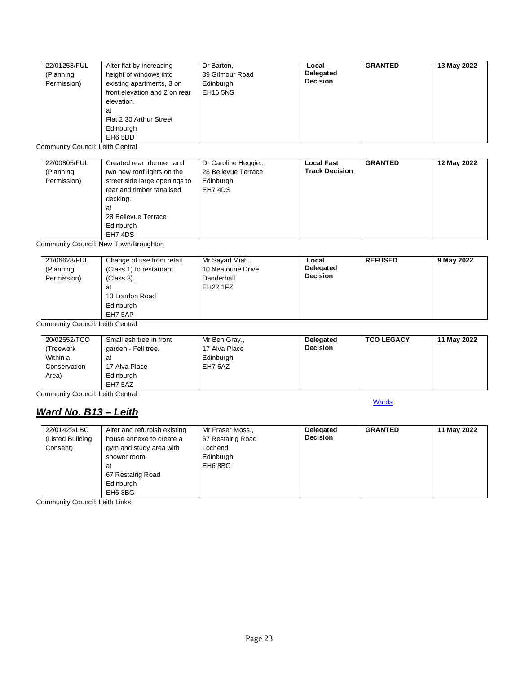| 22/01258/FUL | Alter flat by increasing      | Dr Barton,      | Local           | <b>GRANTED</b> | 13 May 2022 |
|--------------|-------------------------------|-----------------|-----------------|----------------|-------------|
| (Planning    | height of windows into        | 39 Gilmour Road | Delegated       |                |             |
| Permission)  | existing apartments, 3 on     | Edinburgh       | <b>Decision</b> |                |             |
|              | front elevation and 2 on rear | <b>EH16 5NS</b> |                 |                |             |
|              | elevation.                    |                 |                 |                |             |
|              | at                            |                 |                 |                |             |
|              | Flat 2 30 Arthur Street       |                 |                 |                |             |
|              | Edinburgh                     |                 |                 |                |             |
|              | EH6 5DD                       |                 |                 |                |             |

Community Council: Leith Central

| 22/00805/FUL<br>(Planning | Created rear dormer and<br>two new roof lights on the | Dr Caroline Heggie.,<br>28 Bellevue Terrace | <b>Local Fast</b><br><b>Track Decision</b> | <b>GRANTED</b> | 12 May 2022 |
|---------------------------|-------------------------------------------------------|---------------------------------------------|--------------------------------------------|----------------|-------------|
|                           |                                                       |                                             |                                            |                |             |
| Permission)               | street side large openings to                         | Edinburgh                                   |                                            |                |             |
|                           | rear and timber tanalised                             | EH7 4DS                                     |                                            |                |             |
|                           | decking.                                              |                                             |                                            |                |             |
|                           | at                                                    |                                             |                                            |                |             |
|                           | 28 Bellevue Terrace                                   |                                             |                                            |                |             |
|                           | Edinburgh                                             |                                             |                                            |                |             |
|                           | EH74DS                                                |                                             |                                            |                |             |

Community Council: New Town/Broughton

| 21/06628/FUL<br>(Planning<br>Permission) | Change of use from retail<br>(Class 1) to restaurant<br>(Class 3).<br>at<br>10 London Road<br>Edinburgh<br>EH7 5AP | Mr Sayad Miah.,<br>10 Neatoune Drive<br>Danderhall<br>EH22 1FZ | Local<br>Delegated<br><b>Decision</b> | <b>REFUSED</b> | 9 May 2022 |
|------------------------------------------|--------------------------------------------------------------------------------------------------------------------|----------------------------------------------------------------|---------------------------------------|----------------|------------|
|------------------------------------------|--------------------------------------------------------------------------------------------------------------------|----------------------------------------------------------------|---------------------------------------|----------------|------------|

Community Council: Leith Central

| 20/02552/TCO<br>(Treework<br>Within a<br>Conservation | Small ash tree in front<br>garden - Fell tree.<br>at<br>17 Alva Place | Mr Ben Gray.,<br>17 Alva Place<br>Edinburgh<br>EH7 5AZ | Delegated<br><b>Decision</b> | <b>TCO LEGACY</b> | 11 May 2022 |
|-------------------------------------------------------|-----------------------------------------------------------------------|--------------------------------------------------------|------------------------------|-------------------|-------------|
| Area)                                                 | Edinburgh<br>EH7 5AZ                                                  |                                                        |                              |                   |             |

**[Wards](#page-0-0)** 

Community Council: Leith Central

#### <span id="page-22-0"></span>*Ward No. B13 – Leith*

| 22/01429/LBC     | Alter and refurbish existing | Mr Fraser Moss.,  | Delegated       | <b>GRANTED</b> | 11 May 2022 |
|------------------|------------------------------|-------------------|-----------------|----------------|-------------|
| (Listed Building | house annexe to create a     | 67 Restalrig Road | <b>Decision</b> |                |             |
| Consent)         | gym and study area with      | Lochend           |                 |                |             |
|                  | shower room.                 | Edinburgh         |                 |                |             |
|                  | at                           | EH6 8BG           |                 |                |             |
|                  | 67 Restalrig Road            |                   |                 |                |             |
|                  | Edinburgh                    |                   |                 |                |             |
|                  | EH6 8BG                      |                   |                 |                |             |

Community Council: Leith Links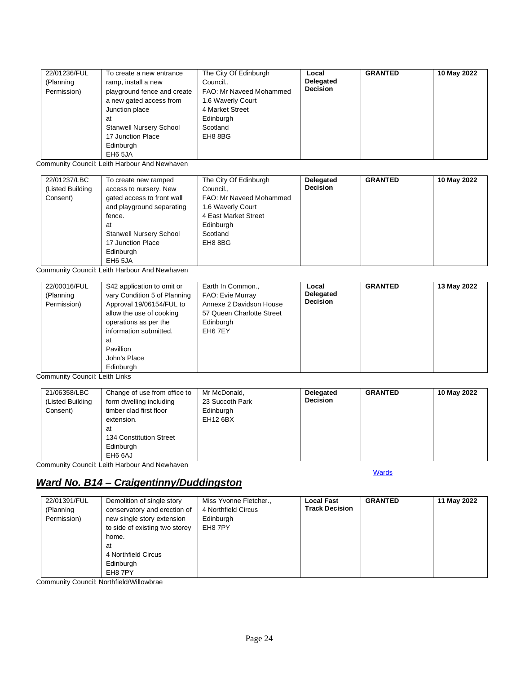| 22/01236/FUL | To create a new entrance       | The City Of Edinburgh   | Local            | <b>GRANTED</b> | 10 May 2022 |
|--------------|--------------------------------|-------------------------|------------------|----------------|-------------|
| (Planning    | ramp, install a new            | Council                 | <b>Delegated</b> |                |             |
| Permission)  | playground fence and create    | FAO: Mr Naveed Mohammed | <b>Decision</b>  |                |             |
|              | a new gated access from        | 1.6 Waverly Court       |                  |                |             |
|              | Junction place                 | 4 Market Street         |                  |                |             |
|              | at                             | Edinburgh               |                  |                |             |
|              | <b>Stanwell Nursery School</b> | Scotland                |                  |                |             |
|              | 17 Junction Place              | EH8 8BG                 |                  |                |             |
|              | Edinburgh                      |                         |                  |                |             |
|              | EH6 5JA                        |                         |                  |                |             |

Community Council: Leith Harbour And Newhaven

| 22/01237/LBC     | To create new ramped           | The City Of Edinburgh   | Delegated       | <b>GRANTED</b> | 10 May 2022 |
|------------------|--------------------------------|-------------------------|-----------------|----------------|-------------|
| (Listed Building | access to nursery. New         | Council                 | <b>Decision</b> |                |             |
| Consent)         | gated access to front wall     | FAO: Mr Naveed Mohammed |                 |                |             |
|                  | and playground separating      | 1.6 Waverly Court       |                 |                |             |
|                  | fence.                         | 4 East Market Street    |                 |                |             |
|                  | at                             | Edinburgh               |                 |                |             |
|                  | <b>Stanwell Nursery School</b> | Scotland                |                 |                |             |
|                  | 17 Junction Place              | EH8 8BG                 |                 |                |             |
|                  | Edinburgh                      |                         |                 |                |             |
|                  | EH6 5JA                        |                         |                 |                |             |

Community Council: Leith Harbour And Newhaven

| 22/00016/FUL<br>(Planning<br>Permission) | S42 application to omit or<br>vary Condition 5 of Planning<br>Approval 19/06154/FUL to<br>allow the use of cooking<br>operations as per the<br>information submitted.<br>at<br>Pavillion<br>John's Place<br>Edinburgh | Earth In Common.,<br>FAO: Evie Murray<br>Annexe 2 Davidson House<br>57 Queen Charlotte Street<br>Edinburgh<br>EH <sub>6</sub> 7EY | Local<br>Delegated<br><b>Decision</b> | <b>GRANTED</b> | 13 May 2022 |
|------------------------------------------|-----------------------------------------------------------------------------------------------------------------------------------------------------------------------------------------------------------------------|-----------------------------------------------------------------------------------------------------------------------------------|---------------------------------------|----------------|-------------|
|------------------------------------------|-----------------------------------------------------------------------------------------------------------------------------------------------------------------------------------------------------------------------|-----------------------------------------------------------------------------------------------------------------------------------|---------------------------------------|----------------|-------------|

Community Council: Leith Links

| 21/06358/LBC     | Change of use from office to | Mr McDonald,    | <b>Delegated</b> | <b>GRANTED</b> | 10 May 2022 |
|------------------|------------------------------|-----------------|------------------|----------------|-------------|
| (Listed Building | form dwelling including      | 23 Succoth Park | <b>Decision</b>  |                |             |
| Consent)         | timber clad first floor      | Edinburgh       |                  |                |             |
|                  | extension.                   | <b>EH12 6BX</b> |                  |                |             |
|                  | at                           |                 |                  |                |             |
|                  | 134 Constitution Street      |                 |                  |                |             |
|                  | Edinburgh                    |                 |                  |                |             |
|                  | EH6 6AJ                      |                 |                  |                |             |

**[Wards](#page-0-0)** 

Community Council: Leith Harbour And Newhaven

## <span id="page-23-0"></span>*Ward No. B14 – Craigentinny/Duddingston*

| 22/01391/FUL<br>(Planning<br>Permission) | Demolition of single story<br>conservatory and erection of<br>new single story extension<br>to side of existing two storey<br>home.<br>at<br>4 Northfield Circus<br>Edinburgh | Miss Yvonne Fletcher.,<br>4 Northfield Circus<br>Edinburgh<br>EH8 7PY | <b>Local Fast</b><br><b>Track Decision</b> | <b>GRANTED</b> | 11 May 2022 |
|------------------------------------------|-------------------------------------------------------------------------------------------------------------------------------------------------------------------------------|-----------------------------------------------------------------------|--------------------------------------------|----------------|-------------|
|                                          | EH8 7PY                                                                                                                                                                       |                                                                       |                                            |                |             |

Community Council: Northfield/Willowbrae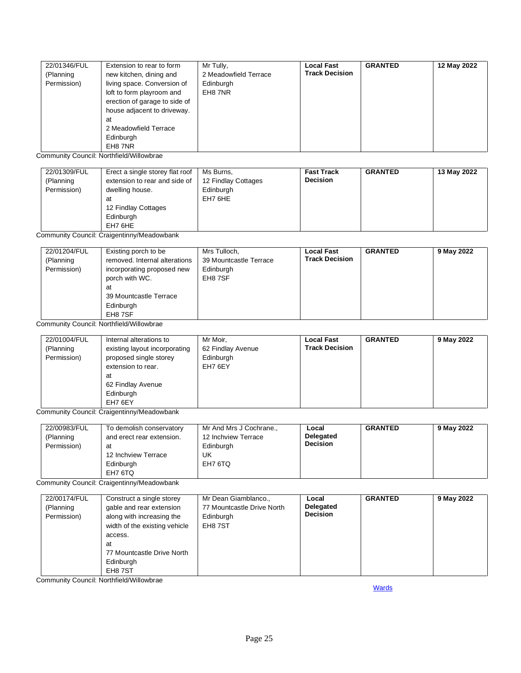| 22/01346/FUL | Extension to rear to form     | Mr Tully,             | <b>Local Fast</b>     | <b>GRANTED</b> | 12 May 2022 |
|--------------|-------------------------------|-----------------------|-----------------------|----------------|-------------|
| (Planning    | new kitchen, dining and       | 2 Meadowfield Terrace | <b>Track Decision</b> |                |             |
| Permission)  | living space. Conversion of   | Edinburgh             |                       |                |             |
|              | loft to form playroom and     | EH8 7NR               |                       |                |             |
|              | erection of garage to side of |                       |                       |                |             |
|              | house adjacent to driveway.   |                       |                       |                |             |
|              | at                            |                       |                       |                |             |
|              | 2 Meadowfield Terrace         |                       |                       |                |             |
|              | Edinburgh                     |                       |                       |                |             |
|              | EH8 7NR                       |                       |                       |                |             |

Community Council: Northfield/Willowbrae

| 22/01309/FUL<br>Erect a single storey flat roof<br>Ms Burns,<br>extension to rear and side of<br>12 Findlay Cottages<br>(Planning<br>Permission)<br>Edinburgh<br>dwelling house.<br>EH7 6HE<br>at<br>12 Findlay Cottages<br>Edinburgh<br>EH7 6HE | <b>Fast Track</b><br><b>Decision</b> | <b>GRANTED</b> | 13 May 2022 |
|--------------------------------------------------------------------------------------------------------------------------------------------------------------------------------------------------------------------------------------------------|--------------------------------------|----------------|-------------|
|--------------------------------------------------------------------------------------------------------------------------------------------------------------------------------------------------------------------------------------------------|--------------------------------------|----------------|-------------|

Community Council: Craigentinny/Meadowbank

| 22/01204/FUL | Existing porch to be          | Mrs Tulloch,           | <b>Local Fast</b>     | <b>GRANTED</b> | 9 May 2022 |
|--------------|-------------------------------|------------------------|-----------------------|----------------|------------|
| (Planning    | removed. Internal alterations | 39 Mountcastle Terrace | <b>Track Decision</b> |                |            |
| Permission)  | incorporating proposed new    | Edinburgh              |                       |                |            |
|              | porch with WC.                | EH8 7SF                |                       |                |            |
|              | at                            |                        |                       |                |            |
|              | 39 Mountcastle Terrace        |                        |                       |                |            |
|              | Edinburgh                     |                        |                       |                |            |
|              | EH8 7SF                       |                        |                       |                |            |

Community Council: Northfield/Willowbrae

| 22/01004/FUL<br>(Planning<br>Permission) | Internal alterations to<br>existing layout incorporating<br>proposed single storey<br>extension to rear.<br>at<br>62 Findlay Avenue<br>Edinburgh<br>EH7 6EY | Mr Moir,<br>62 Findlay Avenue<br>Edinburgh<br>EH7 6EY | <b>Local Fast</b><br><b>Track Decision</b> | <b>GRANTED</b> | 9 May 2022 |
|------------------------------------------|-------------------------------------------------------------------------------------------------------------------------------------------------------------|-------------------------------------------------------|--------------------------------------------|----------------|------------|
|------------------------------------------|-------------------------------------------------------------------------------------------------------------------------------------------------------------|-------------------------------------------------------|--------------------------------------------|----------------|------------|

Community Council: Craigentinny/Meadowbank

| 22/00983/FUL | To demolish conservatory  | Mr And Mrs J Cochrane., | Local           | <b>GRANTED</b> | 9 May 2022 |
|--------------|---------------------------|-------------------------|-----------------|----------------|------------|
| (Planning    | and erect rear extension. | 12 Inchview Terrace     | Delegated       |                |            |
| Permission)  | at                        | Edinburgh               | <b>Decision</b> |                |            |
|              | 12 Inchview Terrace       | UK                      |                 |                |            |
|              | Edinburgh                 | EH7 6TQ                 |                 |                |            |
|              | EH7 6TQ                   |                         |                 |                |            |

Community Council: Craigentinny/Meadowbank

| 22/00174/FUL<br>(Planning<br>Permission) | Construct a single storey<br>gable and rear extension<br>along with increasing the<br>width of the existing vehicle<br>access.<br>at<br>77 Mountcastle Drive North<br>Edinburgh<br>EH8 7ST | Mr Dean Giamblanco.,<br>77 Mountcastle Drive North<br>Edinburgh<br>EH8 7ST | Local<br>Delegated<br><b>Decision</b> | <b>GRANTED</b> | 9 May 2022 |
|------------------------------------------|--------------------------------------------------------------------------------------------------------------------------------------------------------------------------------------------|----------------------------------------------------------------------------|---------------------------------------|----------------|------------|
|------------------------------------------|--------------------------------------------------------------------------------------------------------------------------------------------------------------------------------------------|----------------------------------------------------------------------------|---------------------------------------|----------------|------------|

<span id="page-24-0"></span>Community Council: Northfield/Willowbrae

**[Wards](#page-0-0)**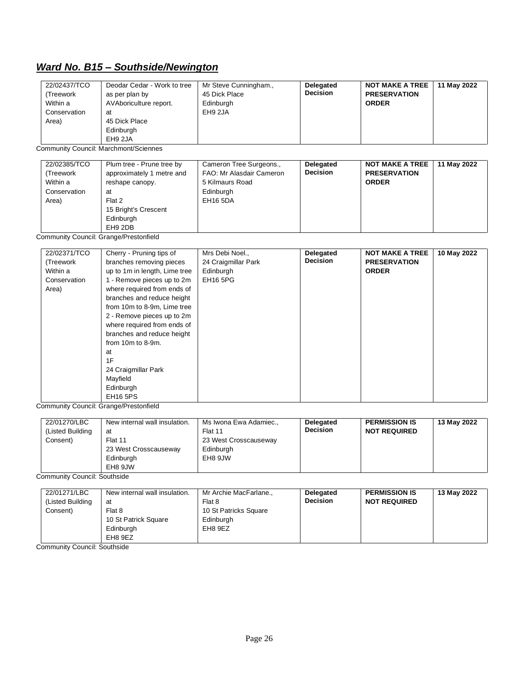# *Ward No. B15 – Southside/Newington*

| 22/02437/TCO<br>Deodar Cedar - Work to tree<br>(Treework<br>as per plan by<br>AVAboriculture report.<br>Within a<br>Conservation<br>at<br>Area)<br>45 Dick Place<br>Edinburgh<br>EH9 2JA | Mr Steve Cunningham.,<br>45 Dick Place<br>Edinburgh<br>EH9 2JA | Delegated<br><b>Decision</b> | <b>NOT MAKE A TREE</b><br><b>PRESERVATION</b><br><b>ORDER</b> | 11 May 2022 |
|------------------------------------------------------------------------------------------------------------------------------------------------------------------------------------------|----------------------------------------------------------------|------------------------------|---------------------------------------------------------------|-------------|
|------------------------------------------------------------------------------------------------------------------------------------------------------------------------------------------|----------------------------------------------------------------|------------------------------|---------------------------------------------------------------|-------------|

Community Council: Marchmont/Sciennes

| 22/02385/TCO<br>(Treework<br>Within a<br>Conservation<br>Area) | Plum tree - Prune tree by<br>approximately 1 metre and<br>reshape canopy.<br>at<br>Flat 2<br>15 Bright's Crescent<br>Edinburgh<br>EH9 2DB | Cameron Tree Surgeons.,<br>FAO: Mr Alasdair Cameron<br>5 Kilmaurs Road<br>Edinburgh<br>EH16 5DA | Delegated<br><b>Decision</b> | <b>NOT MAKE A TREE</b><br><b>PRESERVATION</b><br><b>ORDER</b> | 11 May 2022 |
|----------------------------------------------------------------|-------------------------------------------------------------------------------------------------------------------------------------------|-------------------------------------------------------------------------------------------------|------------------------------|---------------------------------------------------------------|-------------|
|----------------------------------------------------------------|-------------------------------------------------------------------------------------------------------------------------------------------|-------------------------------------------------------------------------------------------------|------------------------------|---------------------------------------------------------------|-------------|

Community Council: Grange/Prestonfield

| 22/02371/TCO | Cherry - Pruning tips of      | Mrs Debi Noel.,     | Delegated       | <b>NOT MAKE A TREE</b> | 10 May 2022 |
|--------------|-------------------------------|---------------------|-----------------|------------------------|-------------|
| (Treework    | branches removing pieces      | 24 Craigmillar Park | <b>Decision</b> | <b>PRESERVATION</b>    |             |
| Within a     | up to 1m in length, Lime tree | Edinburgh           |                 | <b>ORDER</b>           |             |
| Conservation | 1 - Remove pieces up to 2m    | <b>EH16 5PG</b>     |                 |                        |             |
| Area)        | where required from ends of   |                     |                 |                        |             |
|              | branches and reduce height    |                     |                 |                        |             |
|              | from 10m to 8-9m, Lime tree   |                     |                 |                        |             |
|              | 2 - Remove pieces up to 2m    |                     |                 |                        |             |
|              | where required from ends of   |                     |                 |                        |             |
|              | branches and reduce height    |                     |                 |                        |             |
|              | from $10m$ to $8-9m$ .        |                     |                 |                        |             |
|              | at                            |                     |                 |                        |             |
|              | 1F                            |                     |                 |                        |             |
|              | 24 Craigmillar Park           |                     |                 |                        |             |
|              | Mayfield                      |                     |                 |                        |             |
|              | Edinburgh                     |                     |                 |                        |             |
|              | <b>EH16 5PS</b>               |                     |                 |                        |             |

Community Council: Grange/Prestonfield

| 22/01270/LBC<br>(Listed Building<br>Consent) | New internal wall insulation.<br>at<br>Flat 11<br>23 West Crosscauseway<br>Edinburgh<br>EH8 9JW | Ms Iwona Ewa Adamiec.,<br>Flat 11<br>23 West Crosscauseway<br>Edinburgh<br>EH8 9JW | <b>Delegated</b><br><b>Decision</b> | <b>PERMISSION IS</b><br><b>NOT REQUIRED</b> | 13 May 2022 |
|----------------------------------------------|-------------------------------------------------------------------------------------------------|------------------------------------------------------------------------------------|-------------------------------------|---------------------------------------------|-------------|
|----------------------------------------------|-------------------------------------------------------------------------------------------------|------------------------------------------------------------------------------------|-------------------------------------|---------------------------------------------|-------------|

Community Council: Southside

| 22/01271/LBC     | New internal wall insulation. | Mr Archie MacFarlane  | <b>Delegated</b> | <b>PERMISSION IS</b> | 13 May 2022 |
|------------------|-------------------------------|-----------------------|------------------|----------------------|-------------|
| (Listed Building | at                            | Flat 8                | <b>Decision</b>  | <b>NOT REQUIRED</b>  |             |
| Consent)         | Flat 8                        | 10 St Patricks Square |                  |                      |             |
|                  | 10 St Patrick Square          | Edinburgh             |                  |                      |             |
|                  | Edinburgh                     | EH8 9EZ               |                  |                      |             |
|                  | EH8 9EZ                       |                       |                  |                      |             |

Community Council: Southside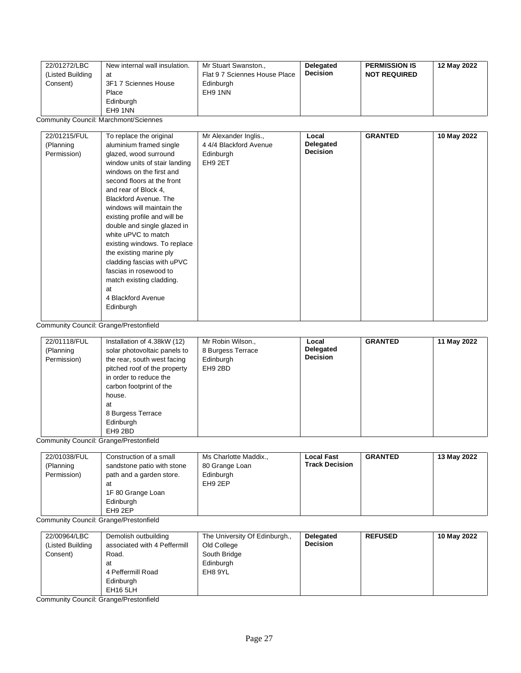| 22/01272/LBC<br>(Listed Building<br>Consent) | New internal wall insulation.<br>at<br>3F1 7 Sciennes House<br>Place<br>Edinburgh<br>EH9 1NN | Mr Stuart Swanston.,<br>Flat 9 7 Sciennes House Place<br>Edinburgh<br>EH9 1NN | Delegated<br><b>Decision</b> | <b>PERMISSION IS</b><br><b>NOT REQUIRED</b> | 12 May 2022 |
|----------------------------------------------|----------------------------------------------------------------------------------------------|-------------------------------------------------------------------------------|------------------------------|---------------------------------------------|-------------|
|----------------------------------------------|----------------------------------------------------------------------------------------------|-------------------------------------------------------------------------------|------------------------------|---------------------------------------------|-------------|

Community Council: Marchmont/Sciennes

| 22/01215/FUL<br>(Planning<br>Permission) | To replace the original<br>aluminium framed single<br>glazed, wood surround<br>window units of stair landing<br>windows on the first and<br>second floors at the front<br>and rear of Block 4,<br><b>Blackford Avenue. The</b><br>windows will maintain the<br>existing profile and will be<br>double and single glazed in<br>white uPVC to match<br>existing windows. To replace<br>the existing marine ply<br>cladding fascias with uPVC<br>fascias in rosewood to<br>match existing cladding.<br>at<br>4 Blackford Avenue<br>Edinburgh | Mr Alexander Inglis.,<br>4 4/4 Blackford Avenue<br>Edinburgh<br>EH9 2ET | Local<br>Delegated<br><b>Decision</b> | <b>GRANTED</b> | 10 May 2022 |
|------------------------------------------|-------------------------------------------------------------------------------------------------------------------------------------------------------------------------------------------------------------------------------------------------------------------------------------------------------------------------------------------------------------------------------------------------------------------------------------------------------------------------------------------------------------------------------------------|-------------------------------------------------------------------------|---------------------------------------|----------------|-------------|
|------------------------------------------|-------------------------------------------------------------------------------------------------------------------------------------------------------------------------------------------------------------------------------------------------------------------------------------------------------------------------------------------------------------------------------------------------------------------------------------------------------------------------------------------------------------------------------------------|-------------------------------------------------------------------------|---------------------------------------|----------------|-------------|

Community Council: Grange/Prestonfield

| 22/01118/FUL<br>(Planning<br>Permission) | Installation of 4.38kW (12)<br>solar photovoltaic panels to<br>the rear, south west facing<br>pitched roof of the property<br>in order to reduce the<br>carbon footprint of the<br>house.<br>at<br>8 Burgess Terrace<br>Edinburgh<br>EH9 2BD | Mr Robin Wilson.,<br>8 Burgess Terrace<br>Edinburgh<br>EH9 2BD | Local<br>Delegated<br><b>Decision</b> | <b>GRANTED</b> | 11 May 2022 |
|------------------------------------------|----------------------------------------------------------------------------------------------------------------------------------------------------------------------------------------------------------------------------------------------|----------------------------------------------------------------|---------------------------------------|----------------|-------------|
|------------------------------------------|----------------------------------------------------------------------------------------------------------------------------------------------------------------------------------------------------------------------------------------------|----------------------------------------------------------------|---------------------------------------|----------------|-------------|

Community Council: Grange/Prestonfield

| 22/01038/FUL<br>(Planning<br>Permission) | Construction of a small<br>sandstone patio with stone<br>path and a garden store.<br>at<br>1F 80 Grange Loan<br>Edinburgh | Ms Charlotte Maddix.,<br>80 Grange Loan<br>Edinburgh<br>EH9 2EP | <b>Local Fast</b><br><b>Track Decision</b> | <b>GRANTED</b> | 13 May 2022 |
|------------------------------------------|---------------------------------------------------------------------------------------------------------------------------|-----------------------------------------------------------------|--------------------------------------------|----------------|-------------|
|                                          | EH <sub>9</sub> 2EP                                                                                                       |                                                                 |                                            |                |             |

Community Council: Grange/Prestonfield

| 22/00964/LBC<br>(Listed Building | Demolish outbuilding<br>associated with 4 Peffermill                  | The University Of Edinburgh.,<br>Old College | Delegated<br><b>Decision</b> | <b>REFUSED</b> | 10 May 2022 |
|----------------------------------|-----------------------------------------------------------------------|----------------------------------------------|------------------------------|----------------|-------------|
| Consent)                         | Road.<br>at<br>4 Peffermill Road<br>Edinburgh<br>EH <sub>16</sub> 5LH | South Bridge<br>Edinburgh<br>EH8 9YL         |                              |                |             |

Community Council: Grange/Prestonfield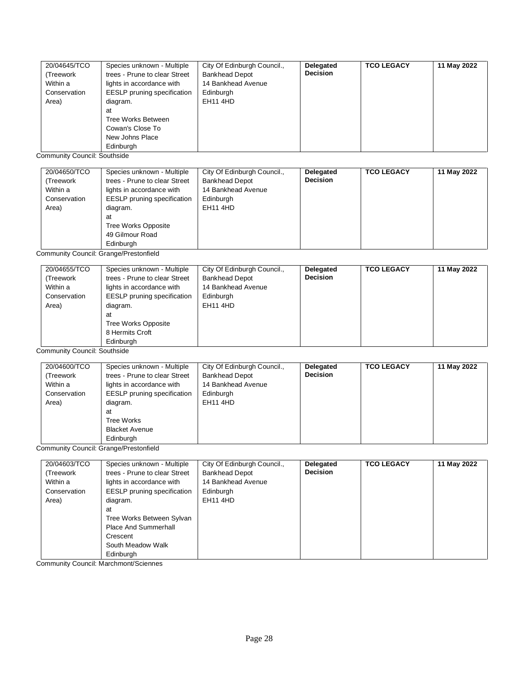| 20/04645/TCO | Species unknown - Multiple         | City Of Edinburgh Council., | Delegated       | <b>TCO LEGACY</b> | 11 May 2022 |
|--------------|------------------------------------|-----------------------------|-----------------|-------------------|-------------|
| (Treework    | trees - Prune to clear Street      | <b>Bankhead Depot</b>       | <b>Decision</b> |                   |             |
| Within a     | lights in accordance with          | 14 Bankhead Avenue          |                 |                   |             |
| Conservation | <b>EESLP</b> pruning specification | Edinburgh                   |                 |                   |             |
| Area)        | diagram.                           | <b>EH11 4HD</b>             |                 |                   |             |
|              | at                                 |                             |                 |                   |             |
|              | Tree Works Between                 |                             |                 |                   |             |
|              | Cowan's Close To                   |                             |                 |                   |             |
|              | New Johns Place                    |                             |                 |                   |             |
|              | Edinburgh                          |                             |                 |                   |             |

Community Council: Southside

| 20/04650/TCO<br>(Treework<br>Within a<br>Conservation<br>Area) | Species unknown - Multiple<br>trees - Prune to clear Street<br>lights in accordance with<br><b>EESLP</b> pruning specification<br>diagram.<br>at<br><b>Tree Works Opposite</b><br>49 Gilmour Road | City Of Edinburgh Council.,<br><b>Bankhead Depot</b><br>14 Bankhead Avenue<br>Edinburgh<br><b>EH11 4HD</b> | Delegated<br><b>Decision</b> | <b>TCO LEGACY</b> | 11 May 2022 |
|----------------------------------------------------------------|---------------------------------------------------------------------------------------------------------------------------------------------------------------------------------------------------|------------------------------------------------------------------------------------------------------------|------------------------------|-------------------|-------------|
|                                                                | Edinburgh                                                                                                                                                                                         |                                                                                                            |                              |                   |             |

Community Council: Grange/Prestonfield

| 20/04655/TCO | Species unknown - Multiple         | City Of Edinburgh Council., | Delegated       | <b>TCO LEGACY</b> | 11 May 2022 |
|--------------|------------------------------------|-----------------------------|-----------------|-------------------|-------------|
| (Treework    | trees - Prune to clear Street      | <b>Bankhead Depot</b>       | <b>Decision</b> |                   |             |
| Within a     | lights in accordance with          | 14 Bankhead Avenue          |                 |                   |             |
| Conservation | <b>EESLP</b> pruning specification | Edinburgh                   |                 |                   |             |
| Area)        | diagram.                           | <b>EH11 4HD</b>             |                 |                   |             |
|              | at                                 |                             |                 |                   |             |
|              | Tree Works Opposite                |                             |                 |                   |             |
|              | 8 Hermits Croft                    |                             |                 |                   |             |
|              | Edinburgh                          |                             |                 |                   |             |

Community Council: Southside

| 20/04600/TCO | Species unknown - Multiple         | City Of Edinburgh Council., | <b>Delegated</b> | <b>TCO LEGACY</b> | 11 May 2022 |
|--------------|------------------------------------|-----------------------------|------------------|-------------------|-------------|
| (Treework    | trees - Prune to clear Street      | <b>Bankhead Depot</b>       | <b>Decision</b>  |                   |             |
| Within a     | lights in accordance with          | 14 Bankhead Avenue          |                  |                   |             |
| Conservation | <b>EESLP</b> pruning specification | Edinburgh                   |                  |                   |             |
| Area)        | diagram.                           | <b>EH11 4HD</b>             |                  |                   |             |
|              | at                                 |                             |                  |                   |             |
|              | <b>Tree Works</b>                  |                             |                  |                   |             |
|              | <b>Blacket Avenue</b>              |                             |                  |                   |             |
|              | Edinburgh                          |                             |                  |                   |             |

Community Council: Grange/Prestonfield

| 20/04603/TCO | Species unknown - Multiple         | City Of Edinburgh Council., | Delegated       | <b>TCO LEGACY</b> | 11 May 2022 |
|--------------|------------------------------------|-----------------------------|-----------------|-------------------|-------------|
| (Treework    | trees - Prune to clear Street      | <b>Bankhead Depot</b>       | <b>Decision</b> |                   |             |
| Within a     | lights in accordance with          | 14 Bankhead Avenue          |                 |                   |             |
| Conservation | <b>EESLP</b> pruning specification | Edinburgh                   |                 |                   |             |
| Area)        | diagram.                           | <b>EH11 4HD</b>             |                 |                   |             |
|              | at                                 |                             |                 |                   |             |
|              | Tree Works Between Sylvan          |                             |                 |                   |             |
|              | Place And Summerhall               |                             |                 |                   |             |
|              | Crescent                           |                             |                 |                   |             |
|              | South Meadow Walk                  |                             |                 |                   |             |
|              | Edinburgh                          |                             |                 |                   |             |

Community Council: Marchmont/Sciennes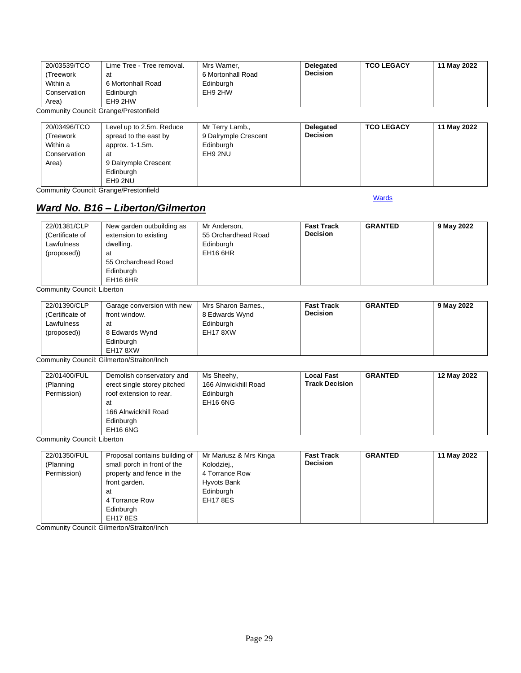| 20/03539/TCO                           | Lime Tree - Tree removal. | Mrs Warner.       | <b>Delegated</b> | <b>TCO LEGACY</b> | 11 May 2022 |
|----------------------------------------|---------------------------|-------------------|------------------|-------------------|-------------|
| 'Treework                              | at                        | 6 Mortonhall Road | <b>Decision</b>  |                   |             |
| Within a                               | 6 Mortonhall Road         | Edinburgh         |                  |                   |             |
| Conservation                           | Edinburgh                 | EH9 2HW           |                  |                   |             |
| Area)                                  | EH9 2HW                   |                   |                  |                   |             |
| Community Council: Grange/Prestonfield |                           |                   |                  |                   |             |

Community Council: Grange/Prestonfield

| 20/03496/TCO | Level up to 2.5m. Reduce | Mr Terry Lamb.,      | <b>Delegated</b> | <b>TCO LEGACY</b> | 11 May 2022 |
|--------------|--------------------------|----------------------|------------------|-------------------|-------------|
| (Treework    | spread to the east by    | 9 Dalrymple Crescent | <b>Decision</b>  |                   |             |
| Within a     | approx. 1-1.5m.          | Edinburgh            |                  |                   |             |
| Conservation | at                       | EH9 2NU              |                  |                   |             |
| Area)        | 9 Dalrymple Crescent     |                      |                  |                   |             |
|              | Edinburgh                |                      |                  |                   |             |
|              | EH9 2NU                  |                      |                  |                   |             |

Community Council: Grange/Prestonfield

### <span id="page-28-0"></span>*Ward No. B16 – Liberton/Gilmerton*

**[Wards](#page-0-0)** 

| 22/01381/CLP<br>(Certificate of<br>Lawfulness<br>(proposed)) | New garden outbuilding as<br>extension to existing<br>dwelling.<br>at<br>55 Orchardhead Road<br>Edinburgh<br>EH <sub>16</sub> 6HR | Mr Anderson,<br>55 Orchardhead Road<br>Edinburgh<br>EH <sub>16</sub> 6HR | <b>Fast Track</b><br><b>Decision</b> | <b>GRANTED</b> | 9 May 2022 |
|--------------------------------------------------------------|-----------------------------------------------------------------------------------------------------------------------------------|--------------------------------------------------------------------------|--------------------------------------|----------------|------------|
|--------------------------------------------------------------|-----------------------------------------------------------------------------------------------------------------------------------|--------------------------------------------------------------------------|--------------------------------------|----------------|------------|

Community Council: Liberton

| 22/01390/CLP<br>(Certificate of | Garage conversion with new<br>front window. | Mrs Sharon Barnes.,<br>8 Edwards Wynd | <b>Fast Track</b><br><b>Decision</b> | <b>GRANTED</b> | 9 May 2022 |
|---------------------------------|---------------------------------------------|---------------------------------------|--------------------------------------|----------------|------------|
| Lawfulness                      | at                                          | Edinburgh                             |                                      |                |            |
| (proposed))                     | 8 Edwards Wynd                              | EH17 8XW                              |                                      |                |            |
|                                 | Edinburgh                                   |                                       |                                      |                |            |
|                                 | EH17 8XW                                    |                                       |                                      |                |            |

Community Council: Gilmerton/Straiton/Inch

| 22/01400/FUL<br>(Planning<br>Permission) | Demolish conservatory and<br>erect single storey pitched<br>roof extension to rear.<br>at<br>166 Alnwickhill Road<br>Edinburgh<br>EH16 6NG | Ms Sheehy,<br>166 Alnwickhill Road<br>Edinburgh<br>EH <sub>16</sub> 6NG | Local Fast<br><b>Track Decision</b> | <b>GRANTED</b> | 12 May 2022 |
|------------------------------------------|--------------------------------------------------------------------------------------------------------------------------------------------|-------------------------------------------------------------------------|-------------------------------------|----------------|-------------|
|------------------------------------------|--------------------------------------------------------------------------------------------------------------------------------------------|-------------------------------------------------------------------------|-------------------------------------|----------------|-------------|

Community Council: Liberton

| 22/01350/FUL | Proposal contains building of | Mr Mariusz & Mrs Kinga | <b>Fast Track</b> | <b>GRANTED</b> | 11 May 2022 |
|--------------|-------------------------------|------------------------|-------------------|----------------|-------------|
| (Planning    | small porch in front of the   | Kolodziej.,            | <b>Decision</b>   |                |             |
| Permission)  | property and fence in the     | 4 Torrance Row         |                   |                |             |
|              | front garden.                 | Hyvots Bank            |                   |                |             |
|              | at                            | Edinburgh              |                   |                |             |
|              | 4 Torrance Row                | <b>EH17 8ES</b>        |                   |                |             |
|              | Edinburgh                     |                        |                   |                |             |
|              | <b>EH17 8ES</b>               |                        |                   |                |             |

Community Council: Gilmerton/Straiton/Inch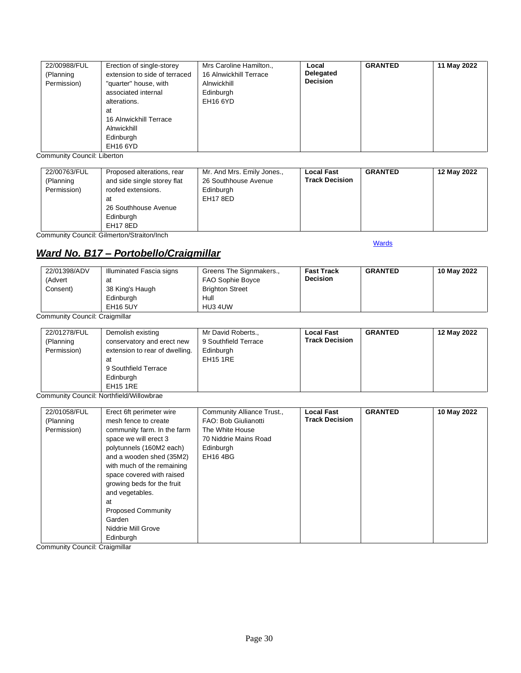| 22/00988/FUL<br>(Planning<br>Permission) | Erection of single-storey<br>extension to side of terraced<br>"quarter" house, with<br>associated internal<br>alterations.<br>at<br>16 Alnwickhill Terrace | Mrs Caroline Hamilton.,<br>16 Alnwickhill Terrace<br>Alnwickhill<br>Edinburgh<br><b>EH16 6YD</b> | Local<br>Delegated<br><b>Decision</b> | <b>GRANTED</b> | 11 May 2022 |
|------------------------------------------|------------------------------------------------------------------------------------------------------------------------------------------------------------|--------------------------------------------------------------------------------------------------|---------------------------------------|----------------|-------------|
|                                          | Alnwickhill<br>Edinburgh<br><b>EH16 6YD</b>                                                                                                                |                                                                                                  |                                       |                |             |

Community Council: Liberton

| 22/00763/FUL<br>(Planning<br>Permission) | Proposed alterations, rear<br>and side single storey flat<br>roofed extensions.<br>at<br>26 Southhouse Avenue<br>Edinburgh<br>EH17 8ED | Mr. And Mrs. Emily Jones.,<br>26 Southhouse Avenue<br>Edinburgh<br>EH17 8ED | <b>Local Fast</b><br><b>Track Decision</b> | <b>GRANTED</b> | 12 May 2022 |
|------------------------------------------|----------------------------------------------------------------------------------------------------------------------------------------|-----------------------------------------------------------------------------|--------------------------------------------|----------------|-------------|
|------------------------------------------|----------------------------------------------------------------------------------------------------------------------------------------|-----------------------------------------------------------------------------|--------------------------------------------|----------------|-------------|

Community Council: Gilmerton/Straiton/Inch

#### **[Wards](#page-0-0)**

#### <span id="page-29-0"></span>*Ward No. B17 – Portobello/Craigmillar*

| 22/01398/ADV | Illuminated Fascia signs | Greens The Signmakers., | <b>Fast Track</b> | <b>GRANTED</b> | 10 May 2022 |
|--------------|--------------------------|-------------------------|-------------------|----------------|-------------|
| (Advert      | at                       | <b>FAO Sophie Boyce</b> | <b>Decision</b>   |                |             |
| Consent)     | 38 King's Haugh          | <b>Brighton Street</b>  |                   |                |             |
|              | Edinburgh                | Hull                    |                   |                |             |
|              | <b>EH16 5UY</b>          | HU3 4UW                 |                   |                |             |

Community Council: Craigmillar

| 22/01278/FUL<br>(Planning<br>Permission) | Demolish existing<br>conservatory and erect new<br>extension to rear of dwelling.<br>at<br>9 Southfield Terrace<br>Edinburgh<br><b>EH15 1RE</b> | Mr David Roberts.,<br>9 Southfield Terrace<br>Edinburgh<br><b>EH15 1RE</b> | <b>Local Fast</b><br><b>Track Decision</b> | <b>GRANTED</b> | 12 May 2022 |
|------------------------------------------|-------------------------------------------------------------------------------------------------------------------------------------------------|----------------------------------------------------------------------------|--------------------------------------------|----------------|-------------|
|------------------------------------------|-------------------------------------------------------------------------------------------------------------------------------------------------|----------------------------------------------------------------------------|--------------------------------------------|----------------|-------------|

Community Council: Northfield/Willowbrae

| 22/01058/FUL | Erect 6ft perimeter wire    | Community Alliance Trust., | <b>Local Fast</b>     | <b>GRANTED</b> | 10 May 2022 |
|--------------|-----------------------------|----------------------------|-----------------------|----------------|-------------|
| (Planning    | mesh fence to create        | FAO: Bob Giulianotti       | <b>Track Decision</b> |                |             |
| Permission)  | community farm. In the farm | The White House            |                       |                |             |
|              | space we will erect 3       | 70 Niddrie Mains Road      |                       |                |             |
|              | polytunnels (160M2 each)    | Edinburgh                  |                       |                |             |
|              | and a wooden shed (35M2)    | EH16 4BG                   |                       |                |             |
|              | with much of the remaining  |                            |                       |                |             |
|              | space covered with raised   |                            |                       |                |             |
|              | growing beds for the fruit  |                            |                       |                |             |
|              | and vegetables.             |                            |                       |                |             |
|              | at                          |                            |                       |                |             |
|              | <b>Proposed Community</b>   |                            |                       |                |             |
|              | Garden                      |                            |                       |                |             |
|              | Niddrie Mill Grove          |                            |                       |                |             |
|              | Edinburgh                   |                            |                       |                |             |

Community Council: Craigmillar